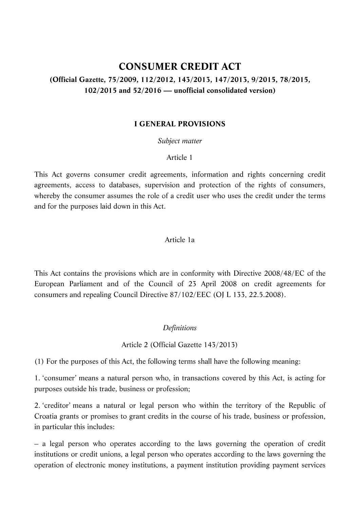# **CONSUMER CREDIT ACT (Official Gazette, 75/2009, 112/2012, 143/2013, 147/2013, 9/2015, 78/2015, 102/2015 and 52/2016 — unofficial consolidated version)**

### **I GENERAL PROVISIONS**

*Subject matter*

#### Article 1

This Act governs consumer credit agreements, information and rights concerning credit agreements, access to databases, supervision and protection of the rights of consumers, whereby the consumer assumes the role of a credit user who uses the credit under the terms and for the purposes laid down in this Act.

#### Article 1a

This Act contains the provisions which are in conformity with Directive 2008/48/EC of the European Parliament and of the Council of 23 April 2008 on credit agreements for consumers and repealing Council Directive 87/102/EEC (OJ L 133, 22.5.2008).

#### *Definitions*

Article 2 (Official Gazette 143/2013)

(1) For the purposes of this Act, the following terms shall have the following meaning:

1. 'consumer' means a natural person who, in transactions covered by this Act, is acting for purposes outside his trade, business or profession;

2. 'creditor' means a natural or legal person who within the territory of the Republic of Croatia grants or promises to grant credits in the course of his trade, business or profession, in particular this includes:

– a legal person who operates according to the laws governing the operation of credit institutions or credit unions, a legal person who operates according to the laws governing the operation of electronic money institutions, a payment institution providing payment services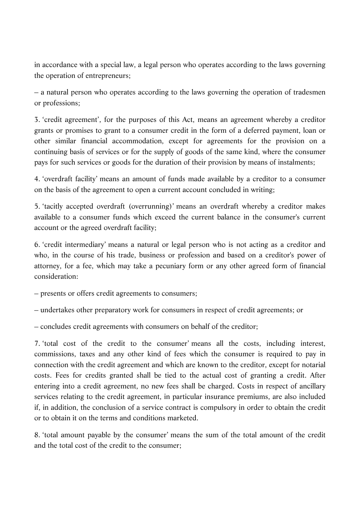in accordance with a special law, a legal person who operates according to the laws governing the operation of entrepreneurs;

– a natural person who operates according to the laws governing the operation of tradesmen or professions;

3. 'credit agreement', for the purposes of this Act, means an agreement whereby a creditor grants or promises to grant to a consumer credit in the form of a deferred payment, loan or other similar financial accommodation, except for agreements for the provision on a continuing basis of services or for the supply of goods of the same kind, where the consumer pays for such services or goods for the duration of their provision by means of instalments;

4. 'overdraft facility' means an amount of funds made available by a creditor to a consumer on the basis of the agreement to open a current account concluded in writing;

5. 'tacitly accepted overdraft (overrunning)' means an overdraft whereby a creditor makes available to a consumer funds which exceed the current balance in the consumer's current account or the agreed overdraft facility;

6. 'credit intermediary' means a natural or legal person who is not acting as a creditor and who, in the course of his trade, business or profession and based on a creditor's power of attorney, for a fee, which may take a pecuniary form or any other agreed form of financial consideration:

– presents or offers credit agreements to consumers;

– undertakes other preparatory work for consumers in respect of credit agreements; or

– concludes credit agreements with consumers on behalf of the creditor;

7. 'total cost of the credit to the consumer' means all the costs, including interest, commissions, taxes and any other kind of fees which the consumer is required to pay in connection with the credit agreement and which are known to the creditor, except for notarial costs. Fees for credits granted shall be tied to the actual cost of granting a credit. After entering into a credit agreement, no new fees shall be charged. Costs in respect of ancillary services relating to the credit agreement, in particular insurance premiums, are also included if, in addition, the conclusion of a service contract is compulsory in order to obtain the credit or to obtain it on the terms and conditions marketed.

8. 'total amount payable by the consumer' means the sum of the total amount of the credit and the total cost of the credit to the consumer;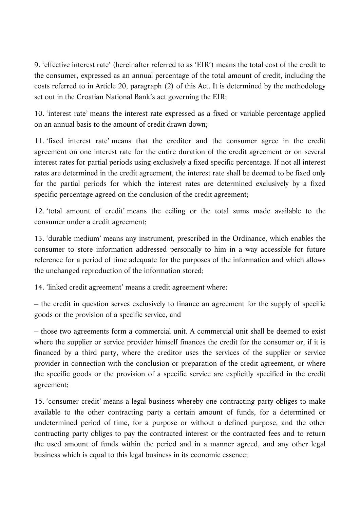9. 'effective interest rate' (hereinafter referred to as 'EIR') means the total cost of the credit to the consumer, expressed as an annual percentage of the total amount of credit, including the costs referred to in Article 20, paragraph (2) of this Act. It is determined by the methodology set out in the Croatian National Bank's act governing the EIR;

10. 'interest rate' means the interest rate expressed as a fixed or variable percentage applied on an annual basis to the amount of credit drawn down;

11. 'fixed interest rate' means that the creditor and the consumer agree in the credit agreement on one interest rate for the entire duration of the credit agreement or on several interest rates for partial periods using exclusively a fixed specific percentage. If not all interest rates are determined in the credit agreement, the interest rate shall be deemed to be fixed only for the partial periods for which the interest rates are determined exclusively by a fixed specific percentage agreed on the conclusion of the credit agreement;

12. 'total amount of credit' means the ceiling or the total sums made available to the consumer under a credit agreement;

13. 'durable medium' means any instrument, prescribed in the Ordinance, which enables the consumer to store information addressed personally to him in a way accessible for future reference for a period of time adequate for the purposes of the information and which allows the unchanged reproduction of the information stored;

14. 'linked credit agreement' means a credit agreement where:

– the credit in question serves exclusively to finance an agreement for the supply of specific goods or the provision of a specific service, and

– those two agreements form a commercial unit. A commercial unit shall be deemed to exist where the supplier or service provider himself finances the credit for the consumer or, if it is financed by a third party, where the creditor uses the services of the supplier or service provider in connection with the conclusion or preparation of the credit agreement, or where the specific goods or the provision of a specific service are explicitly specified in the credit agreement;

15. 'consumer credit' means a legal business whereby one contracting party obliges to make available to the other contracting party a certain amount of funds, for a determined or undetermined period of time, for a purpose or without a defined purpose, and the other contracting party obliges to pay the contracted interest or the contracted fees and to return the used amount of funds within the period and in a manner agreed, and any other legal business which is equal to this legal business in its economic essence;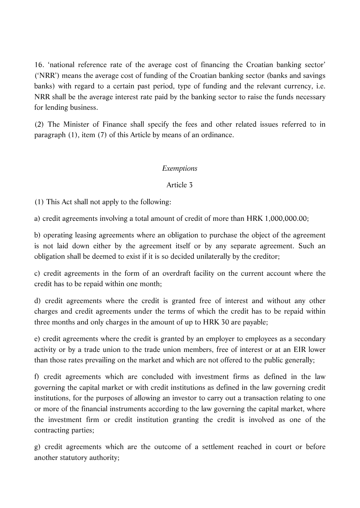16. 'national reference rate of the average cost of financing the Croatian banking sector' ('NRR') means the average cost of funding of the Croatian banking sector (banks and savings banks) with regard to a certain past period, type of funding and the relevant currency, i.e. NRR shall be the average interest rate paid by the banking sector to raise the funds necessary for lending business.

(2) The Minister of Finance shall specify the fees and other related issues referred to in paragraph (1), item (7) of this Article by means of an ordinance.

### *Exemptions*

### Article 3

(1) This Act shall not apply to the following:

a) credit agreements involving a total amount of credit of more than HRK 1,000,000.00;

b) operating leasing agreements where an obligation to purchase the object of the agreement is not laid down either by the agreement itself or by any separate agreement. Such an obligation shall be deemed to exist if it is so decided unilaterally by the creditor;

c) credit agreements in the form of an overdraft facility on the current account where the credit has to be repaid within one month;

d) credit agreements where the credit is granted free of interest and without any other charges and credit agreements under the terms of which the credit has to be repaid within three months and only charges in the amount of up to HRK 30 are payable;

e) credit agreements where the credit is granted by an employer to employees as a secondary activity or by a trade union to the trade union members, free of interest or at an EIR lower than those rates prevailing on the market and which are not offered to the public generally;

f) credit agreements which are concluded with investment firms as defined in the law governing the capital market or with credit institutions as defined in the law governing credit institutions, for the purposes of allowing an investor to carry out a transaction relating to one or more of the financial instruments according to the law governing the capital market, where the investment firm or credit institution granting the credit is involved as one of the contracting parties;

g) credit agreements which are the outcome of a settlement reached in court or before another statutory authority;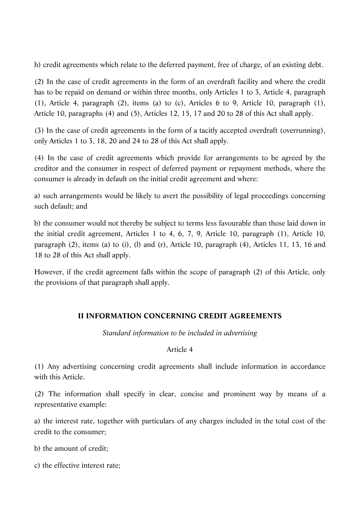h) credit agreements which relate to the deferred payment, free of charge, of an existing debt.

(2) In the case of credit agreements in the form of an overdraft facility and where the credit has to be repaid on demand or within three months, only Articles 1 to 3, Article 4, paragraph (1), Article 4, paragraph (2), items (a) to (c), Articles 6 to 9, Article 10, paragraph (1), Article 10, paragraphs (4) and (5), Articles 12, 15, 17 and 20 to 28 of this Act shall apply.

(3) In the case of credit agreements in the form of a tacitly accepted overdraft (overrunning), only Articles 1 to 3, 18, 20 and 24 to 28 of this Act shall apply.

(4) In the case of credit agreements which provide for arrangements to be agreed by the creditor and the consumer in respect of deferred payment or repayment methods, where the consumer is already in default on the initial credit agreement and where:

a) such arrangements would be likely to avert the possibility of legal proceedings concerning such default; and

b) the consumer would not thereby be subject to terms less favourable than those laid down in the initial credit agreement, Articles 1 to 4, 6, 7, 9, Article 10, paragraph (1), Article 10, paragraph (2), items (a) to (i), (l) and (r), Article 10, paragraph (4), Articles 11, 13, 16 and 18 to 28 of this Act shall apply.

However, if the credit agreement falls within the scope of paragraph (2) of this Article, only the provisions of that paragraph shall apply.

# **II INFORMATION CONCERNING CREDIT AGREEMENTS**

*Standard information to be included in advertising*

# Article 4

(1) Any advertising concerning credit agreements shall include information in accordance with this Article.

(2) The information shall specify in clear, concise and prominent way by means of a representative example:

a) the interest rate, together with particulars of any charges included in the total cost of the credit to the consumer;

b) the amount of credit;

c) the effective interest rate;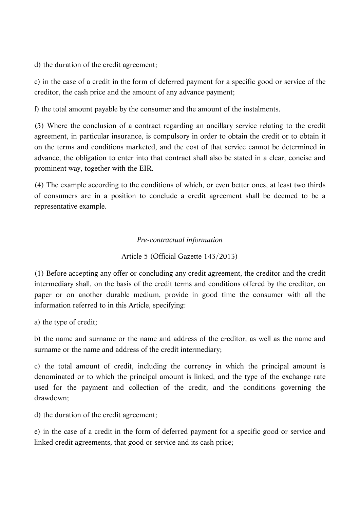d) the duration of the credit agreement;

e) in the case of a credit in the form of deferred payment for a specific good or service of the creditor, the cash price and the amount of any advance payment;

f) the total amount payable by the consumer and the amount of the instalments.

(3) Where the conclusion of a contract regarding an ancillary service relating to the credit agreement, in particular insurance, is compulsory in order to obtain the credit or to obtain it on the terms and conditions marketed, and the cost of that service cannot be determined in advance, the obligation to enter into that contract shall also be stated in a clear, concise and prominent way, together with the EIR.

(4) The example according to the conditions of which, or even better ones, at least two thirds of consumers are in a position to conclude a credit agreement shall be deemed to be a representative example.

# *Pre-contractual information*

# Article 5 (Official Gazette 143/2013)

(1) Before accepting any offer or concluding any credit agreement, the creditor and the credit intermediary shall, on the basis of the credit terms and conditions offered by the creditor, on paper or on another durable medium, provide in good time the consumer with all the information referred to in this Article, specifying:

a) the type of credit;

b) the name and surname or the name and address of the creditor, as well as the name and surname or the name and address of the credit intermediary;

c) the total amount of credit, including the currency in which the principal amount is denominated or to which the principal amount is linked, and the type of the exchange rate used for the payment and collection of the credit, and the conditions governing the drawdown;

d) the duration of the credit agreement;

e) in the case of a credit in the form of deferred payment for a specific good or service and linked credit agreements, that good or service and its cash price;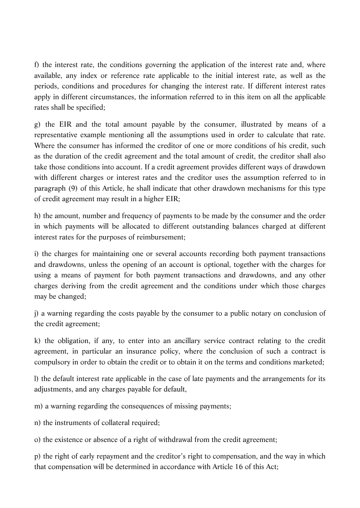f) the interest rate, the conditions governing the application of the interest rate and, where available, any index or reference rate applicable to the initial interest rate, as well as the periods, conditions and procedures for changing the interest rate. If different interest rates apply in different circumstances, the information referred to in this item on all the applicable rates shall be specified;

g) the EIR and the total amount payable by the consumer, illustrated by means of a representative example mentioning all the assumptions used in order to calculate that rate. Where the consumer has informed the creditor of one or more conditions of his credit, such as the duration of the credit agreement and the total amount of credit, the creditor shall also take those conditions into account. If a credit agreement provides different ways of drawdown with different charges or interest rates and the creditor uses the assumption referred to in paragraph (9) of this Article, he shall indicate that other drawdown mechanisms for this type of credit agreement may result in a higher EIR;

h) the amount, number and frequency of payments to be made by the consumer and the order in which payments will be allocated to different outstanding balances charged at different interest rates for the purposes of reimbursement;

i) the charges for maintaining one or several accounts recording both payment transactions and drawdowns, unless the opening of an account is optional, together with the charges for using a means of payment for both payment transactions and drawdowns, and any other charges deriving from the credit agreement and the conditions under which those charges may be changed;

j) a warning regarding the costs payable by the consumer to a public notary on conclusion of the credit agreement;

k) the obligation, if any, to enter into an ancillary service contract relating to the credit agreement, in particular an insurance policy, where the conclusion of such a contract is compulsory in order to obtain the credit or to obtain it on the terms and conditions marketed;

l) the default interest rate applicable in the case of late payments and the arrangements for its adjustments, and any charges payable for default,

m) a warning regarding the consequences of missing payments;

n) the instruments of collateral required;

o) the existence or absence of a right of withdrawal from the credit agreement;

p) the right of early repayment and the creditor's right to compensation, and the way in which that compensation will be determined in accordance with Article 16 of this Act;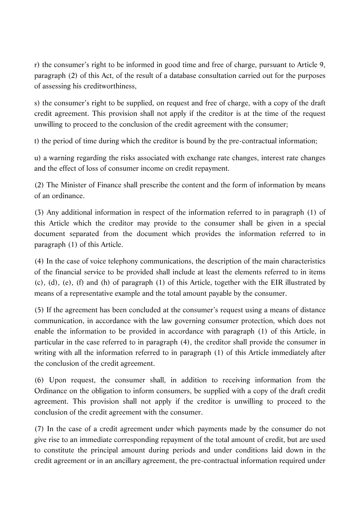r) the consumer's right to be informed in good time and free of charge, pursuant to Article 9, paragraph (2) of this Act, of the result of a database consultation carried out for the purposes of assessing his creditworthiness,

s) the consumer's right to be supplied, on request and free of charge, with a copy of the draft credit agreement. This provision shall not apply if the creditor is at the time of the request unwilling to proceed to the conclusion of the credit agreement with the consumer;

t) the period of time during which the creditor is bound by the pre-contractual information;

u) a warning regarding the risks associated with exchange rate changes, interest rate changes and the effect of loss of consumer income on credit repayment.

(2) The Minister of Finance shall prescribe the content and the form of information by means of an ordinance.

(3) Any additional information in respect of the information referred to in paragraph (1) of this Article which the creditor may provide to the consumer shall be given in a special document separated from the document which provides the information referred to in paragraph (1) of this Article.

(4) In the case of voice telephony communications, the description of the main characteristics of the financial service to be provided shall include at least the elements referred to in items (c), (d), (e), (f) and (h) of paragraph (1) of this Article, together with the EIR illustrated by means of a representative example and the total amount payable by the consumer.

(5) If the agreement has been concluded at the consumer's request using a means of distance communication, in accordance with the law governing consumer protection, which does not enable the information to be provided in accordance with paragraph (1) of this Article, in particular in the case referred to in paragraph (4), the creditor shall provide the consumer in writing with all the information referred to in paragraph (1) of this Article immediately after the conclusion of the credit agreement.

(6) Upon request, the consumer shall, in addition to receiving information from the Ordinance on the obligation to inform consumers, be supplied with a copy of the draft credit agreement. This provision shall not apply if the creditor is unwilling to proceed to the conclusion of the credit agreement with the consumer.

(7) In the case of a credit agreement under which payments made by the consumer do not give rise to an immediate corresponding repayment of the total amount of credit, but are used to constitute the principal amount during periods and under conditions laid down in the credit agreement or in an ancillary agreement, the pre-contractual information required under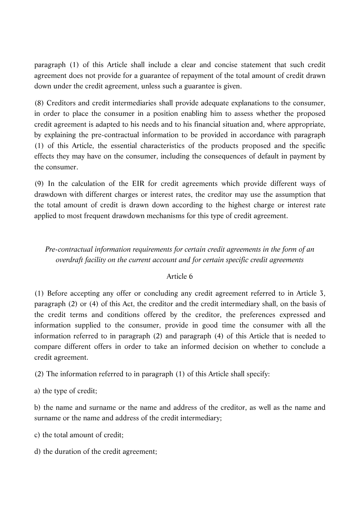paragraph (1) of this Article shall include a clear and concise statement that such credit agreement does not provide for a guarantee of repayment of the total amount of credit drawn down under the credit agreement, unless such a guarantee is given.

(8) Creditors and credit intermediaries shall provide adequate explanations to the consumer, in order to place the consumer in a position enabling him to assess whether the proposed credit agreement is adapted to his needs and to his financial situation and, where appropriate, by explaining the pre-contractual information to be provided in accordance with paragraph (1) of this Article, the essential characteristics of the products proposed and the specific effects they may have on the consumer, including the consequences of default in payment by the consumer.

(9) In the calculation of the EIR for credit agreements which provide different ways of drawdown with different charges or interest rates, the creditor may use the assumption that the total amount of credit is drawn down according to the highest charge or interest rate applied to most frequent drawdown mechanisms for this type of credit agreement.

# *Pre-contractual information requirements for certain credit agreements in the form of an overdraft facility on the current account and for certain specific credit agreements*

# Article 6

(1) Before accepting any offer or concluding any credit agreement referred to in Article 3, paragraph (2) or (4) of this Act, the creditor and the credit intermediary shall, on the basis of the credit terms and conditions offered by the creditor, the preferences expressed and information supplied to the consumer, provide in good time the consumer with all the information referred to in paragraph (2) and paragraph (4) of this Article that is needed to compare different offers in order to take an informed decision on whether to conclude a credit agreement.

(2) The information referred to in paragraph (1) of this Article shall specify:

a) the type of credit;

b) the name and surname or the name and address of the creditor, as well as the name and surname or the name and address of the credit intermediary;

c) the total amount of credit;

d) the duration of the credit agreement;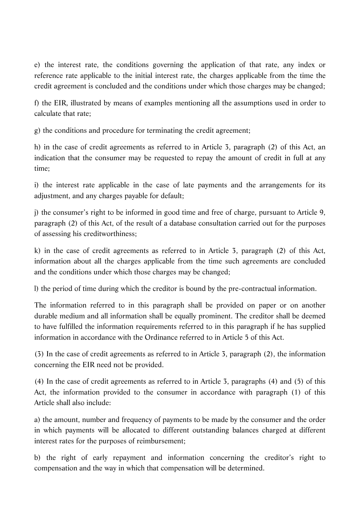e) the interest rate, the conditions governing the application of that rate, any index or reference rate applicable to the initial interest rate, the charges applicable from the time the credit agreement is concluded and the conditions under which those charges may be changed;

f) the EIR, illustrated by means of examples mentioning all the assumptions used in order to calculate that rate;

g) the conditions and procedure for terminating the credit agreement;

h) in the case of credit agreements as referred to in Article 3, paragraph (2) of this Act, an indication that the consumer may be requested to repay the amount of credit in full at any time;

i) the interest rate applicable in the case of late payments and the arrangements for its adjustment, and any charges payable for default;

j) the consumer's right to be informed in good time and free of charge, pursuant to Article 9, paragraph (2) of this Act, of the result of a database consultation carried out for the purposes of assessing his creditworthiness;

k) in the case of credit agreements as referred to in Article 3, paragraph (2) of this Act, information about all the charges applicable from the time such agreements are concluded and the conditions under which those charges may be changed;

l) the period of time during which the creditor is bound by the pre-contractual information.

The information referred to in this paragraph shall be provided on paper or on another durable medium and all information shall be equally prominent. The creditor shall be deemed to have fulfilled the information requirements referred to in this paragraph if he has supplied information in accordance with the Ordinance referred to in Article 5 of this Act.

(3) In the case of credit agreements as referred to in Article 3, paragraph (2), the information concerning the EIR need not be provided.

(4) In the case of credit agreements as referred to in Article 3, paragraphs (4) and (5) of this Act, the information provided to the consumer in accordance with paragraph (1) of this Article shall also include:

a) the amount, number and frequency of payments to be made by the consumer and the order in which payments will be allocated to different outstanding balances charged at different interest rates for the purposes of reimbursement;

b) the right of early repayment and information concerning the creditor's right to compensation and the way in which that compensation will be determined.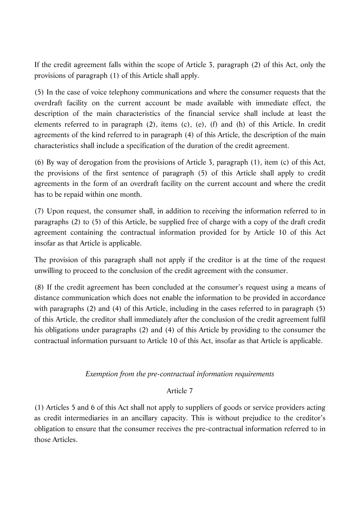If the credit agreement falls within the scope of Article 3, paragraph (2) of this Act, only the provisions of paragraph (1) of this Article shall apply.

(5) In the case of voice telephony communications and where the consumer requests that the overdraft facility on the current account be made available with immediate effect, the description of the main characteristics of the financial service shall include at least the elements referred to in paragraph (2), items (c), (e), (f) and (h) of this Article. In credit agreements of the kind referred to in paragraph (4) of this Article, the description of the main characteristics shall include a specification of the duration of the credit agreement.

(6) By way of derogation from the provisions of Article 3, paragraph (1), item (c) of this Act, the provisions of the first sentence of paragraph (5) of this Article shall apply to credit agreements in the form of an overdraft facility on the current account and where the credit has to be repaid within one month.

(7) Upon request, the consumer shall, in addition to receiving the information referred to in paragraphs (2) to (5) of this Article, be supplied free of charge with a copy of the draft credit agreement containing the contractual information provided for by Article 10 of this Act insofar as that Article is applicable.

The provision of this paragraph shall not apply if the creditor is at the time of the request unwilling to proceed to the conclusion of the credit agreement with the consumer.

(8) If the credit agreement has been concluded at the consumer's request using a means of distance communication which does not enable the information to be provided in accordance with paragraphs (2) and (4) of this Article, including in the cases referred to in paragraph (5) of this Article, the creditor shall immediately after the conclusion of the credit agreement fulfil his obligations under paragraphs (2) and (4) of this Article by providing to the consumer the contractual information pursuant to Article 10 of this Act, insofar as that Article is applicable.

### *Exemption from the pre-contractual information requirements*

### Article 7

(1) Articles 5 and 6 of this Act shall not apply to suppliers of goods or service providers acting as credit intermediaries in an ancillary capacity. This is without prejudice to the creditor's obligation to ensure that the consumer receives the pre-contractual information referred to in those Articles.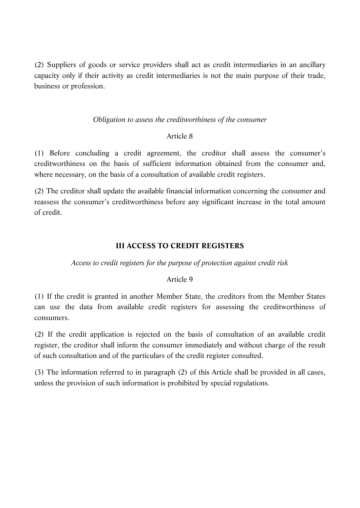(2) Suppliers of goods or service providers shall act as credit intermediaries in an ancillary capacity only if their activity as credit intermediaries is not the main purpose of their trade, business or profession.

### *Obligation to assess the creditworthiness of the consumer*

### Article 8

(1) Before concluding a credit agreement, the creditor shall assess the consumer's creditworthiness on the basis of sufficient information obtained from the consumer and, where necessary, on the basis of a consultation of available credit registers.

(2) The creditor shall update the available financial information concerning the consumer and reassess the consumer's creditworthiness before any significant increase in the total amount of credit.

# **III ACCESS TO CREDIT REGISTERS**

# *Access to credit registers for the purpose of protection against credit risk*

# Article 9

(1) If the credit is granted in another Member State, the creditors from the Member States can use the data from available credit registers for assessing the creditworthiness of consumers.

(2) If the credit application is rejected on the basis of consultation of an available credit register, the creditor shall inform the consumer immediately and without charge of the result of such consultation and of the particulars of the credit register consulted.

(3) The information referred to in paragraph (2) of this Article shall be provided in all cases, unless the provision of such information is prohibited by special regulations.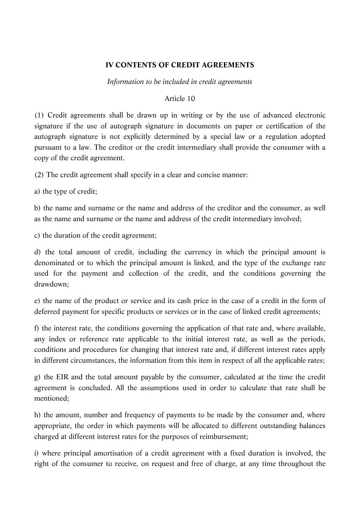### **IV CONTENTS OF CREDIT AGREEMENTS**

*Information to be included in credit agreements*

#### Article 10

(1) Credit agreements shall be drawn up in writing or by the use of advanced electronic signature if the use of autograph signature in documents on paper or certification of the autograph signature is not explicitly determined by a special law or a regulation adopted pursuant to a law. The creditor or the credit intermediary shall provide the consumer with a copy of the credit agreement.

(2) The credit agreement shall specify in a clear and concise manner:

a) the type of credit;

b) the name and surname or the name and address of the creditor and the consumer, as well as the name and surname or the name and address of the credit intermediary involved;

c) the duration of the credit agreement;

d) the total amount of credit, including the currency in which the principal amount is denominated or to which the principal amount is linked, and the type of the exchange rate used for the payment and collection of the credit, and the conditions governing the drawdown;

e) the name of the product or service and its cash price in the case of a credit in the form of deferred payment for specific products or services or in the case of linked credit agreements;

f) the interest rate, the conditions governing the application of that rate and, where available, any index or reference rate applicable to the initial interest rate, as well as the periods, conditions and procedures for changing that interest rate and, if different interest rates apply in different circumstances, the information from this item in respect of all the applicable rates;

g) the EIR and the total amount payable by the consumer, calculated at the time the credit agreement is concluded. All the assumptions used in order to calculate that rate shall be mentioned;

h) the amount, number and frequency of payments to be made by the consumer and, where appropriate, the order in which payments will be allocated to different outstanding balances charged at different interest rates for the purposes of reimbursement;

i) where principal amortisation of a credit agreement with a fixed duration is involved, the right of the consumer to receive, on request and free of charge, at any time throughout the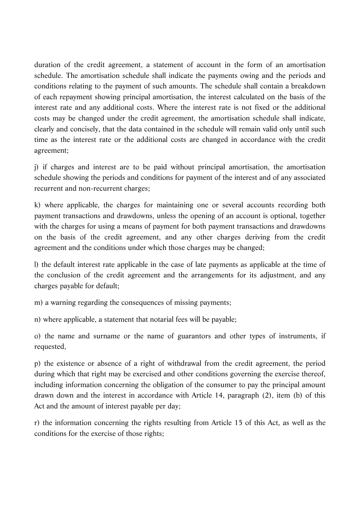duration of the credit agreement, a statement of account in the form of an amortisation schedule. The amortisation schedule shall indicate the payments owing and the periods and conditions relating to the payment of such amounts. The schedule shall contain a breakdown of each repayment showing principal amortisation, the interest calculated on the basis of the interest rate and any additional costs. Where the interest rate is not fixed or the additional costs may be changed under the credit agreement, the amortisation schedule shall indicate, clearly and concisely, that the data contained in the schedule will remain valid only until such time as the interest rate or the additional costs are changed in accordance with the credit agreement;

j) if charges and interest are to be paid without principal amortisation, the amortisation schedule showing the periods and conditions for payment of the interest and of any associated recurrent and non-recurrent charges;

k) where applicable, the charges for maintaining one or several accounts recording both payment transactions and drawdowns, unless the opening of an account is optional, together with the charges for using a means of payment for both payment transactions and drawdowns on the basis of the credit agreement, and any other charges deriving from the credit agreement and the conditions under which those charges may be changed;

l) the default interest rate applicable in the case of late payments as applicable at the time of the conclusion of the credit agreement and the arrangements for its adjustment, and any charges payable for default;

m) a warning regarding the consequences of missing payments;

n) where applicable, a statement that notarial fees will be payable;

o) the name and surname or the name of guarantors and other types of instruments, if requested,

p) the existence or absence of a right of withdrawal from the credit agreement, the period during which that right may be exercised and other conditions governing the exercise thereof. including information concerning the obligation of the consumer to pay the principal amount drawn down and the interest in accordance with Article 14, paragraph (2), item (b) of this Act and the amount of interest payable per day;

r) the information concerning the rights resulting from Article 15 of this Act, as well as the conditions for the exercise of those rights;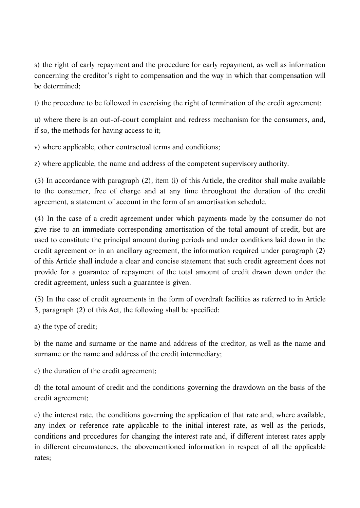s) the right of early repayment and the procedure for early repayment, as well as information concerning the creditor's right to compensation and the way in which that compensation will be determined;

t) the procedure to be followed in exercising the right of termination of the credit agreement;

u) where there is an out-of-court complaint and redress mechanism for the consumers, and, if so, the methods for having access to it;

v) where applicable, other contractual terms and conditions;

z) where applicable, the name and address of the competent supervisory authority.

(3) In accordance with paragraph (2), item (i) of this Article, the creditor shall make available to the consumer, free of charge and at any time throughout the duration of the credit agreement, a statement of account in the form of an amortisation schedule.

(4) In the case of a credit agreement under which payments made by the consumer do not give rise to an immediate corresponding amortisation of the total amount of credit, but are used to constitute the principal amount during periods and under conditions laid down in the credit agreement or in an ancillary agreement, the information required under paragraph (2) of this Article shall include a clear and concise statement that such credit agreement does not provide for a guarantee of repayment of the total amount of credit drawn down under the credit agreement, unless such a guarantee is given.

(5) In the case of credit agreements in the form of overdraft facilities as referred to in Article 3, paragraph (2) of this Act, the following shall be specified:

a) the type of credit;

b) the name and surname or the name and address of the creditor, as well as the name and surname or the name and address of the credit intermediary;

c) the duration of the credit agreement;

d) the total amount of credit and the conditions governing the drawdown on the basis of the credit agreement;

e) the interest rate, the conditions governing the application of that rate and, where available, any index or reference rate applicable to the initial interest rate, as well as the periods, conditions and procedures for changing the interest rate and, if different interest rates apply in different circumstances, the abovementioned information in respect of all the applicable rates;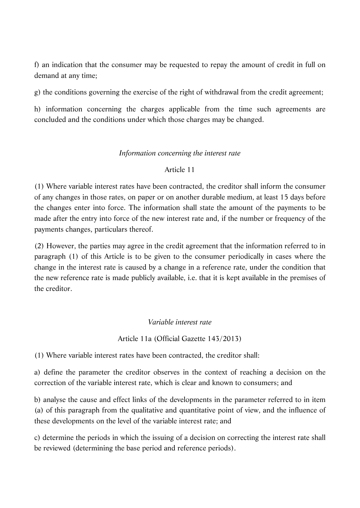f) an indication that the consumer may be requested to repay the amount of credit in full on demand at any time;

g) the conditions governing the exercise of the right of withdrawal from the credit agreement;

h) information concerning the charges applicable from the time such agreements are concluded and the conditions under which those charges may be changed.

# *Information concerning the interest rate*

# Article 11

(1) Where variable interest rates have been contracted, the creditor shall inform the consumer of any changes in those rates, on paper or on another durable medium, at least 15 days before the changes enter into force. The information shall state the amount of the payments to be made after the entry into force of the new interest rate and, if the number or frequency of the payments changes, particulars thereof.

(2) However, the parties may agree in the credit agreement that the information referred to in paragraph (1) of this Article is to be given to the consumer periodically in cases where the change in the interest rate is caused by a change in a reference rate, under the condition that the new reference rate is made publicly available, i.e. that it is kept available in the premises of the creditor.

*Variable interest rate*

# Article 11a (Official Gazette 143/2013)

(1) Where variable interest rates have been contracted, the creditor shall:

a) define the parameter the creditor observes in the context of reaching a decision on the correction of the variable interest rate, which is clear and known to consumers; and

b) analyse the cause and effect links of the developments in the parameter referred to in item (a) of this paragraph from the qualitative and quantitative point of view, and the influence of these developments on the level of the variable interest rate; and

c) determine the periods in which the issuing of a decision on correcting the interest rate shall be reviewed (determining the base period and reference periods).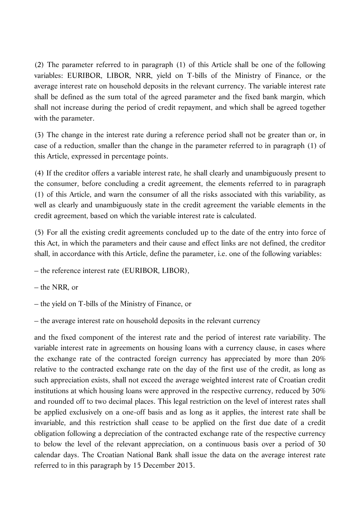(2) The parameter referred to in paragraph (1) of this Article shall be one of the following variables: EURIBOR, LIBOR, NRR, yield on T-bills of the Ministry of Finance, or the average interest rate on household deposits in the relevant currency. The variable interest rate shall be defined as the sum total of the agreed parameter and the fixed bank margin, which shall not increase during the period of credit repayment, and which shall be agreed together with the parameter.

(3) The change in the interest rate during a reference period shall not be greater than or, in case of a reduction, smaller than the change in the parameter referred to in paragraph (1) of this Article, expressed in percentage points.

(4) If the creditor offers a variable interest rate, he shall clearly and unambiguously present to the consumer, before concluding a credit agreement, the elements referred to in paragraph (1) of this Article, and warn the consumer of all the risks associated with this variability, as well as clearly and unambiguously state in the credit agreement the variable elements in the credit agreement, based on which the variable interest rate is calculated.

(5) For all the existing credit agreements concluded up to the date of the entry into force of this Act, in which the parameters and their cause and effect links are not defined, the creditor shall, in accordance with this Article, define the parameter, i.e. one of the following variables:

– the reference interest rate (EURIBOR, LIBOR),

– the NRR, or

– the yield on T-bills of the Ministry of Finance, or

– the average interest rate on household deposits in the relevant currency

and the fixed component of the interest rate and the period of interest rate variability. The variable interest rate in agreements on housing loans with a currency clause, in cases where the exchange rate of the contracted foreign currency has appreciated by more than 20% relative to the contracted exchange rate on the day of the first use of the credit, as long as such appreciation exists, shall not exceed the average weighted interest rate of Croatian credit institutions at which housing loans were approved in the respective currency, reduced by 30% and rounded off to two decimal places. This legal restriction on the level of interest rates shall be applied exclusively on a one-off basis and as long as it applies, the interest rate shall be invariable, and this restriction shall cease to be applied on the first due date of a credit obligation following a depreciation of the contracted exchange rate of the respective currency to below the level of the relevant appreciation, on a continuous basis over a period of 30 calendar days. The Croatian National Bank shall issue the data on the average interest rate referred to in this paragraph by 15 December 2013.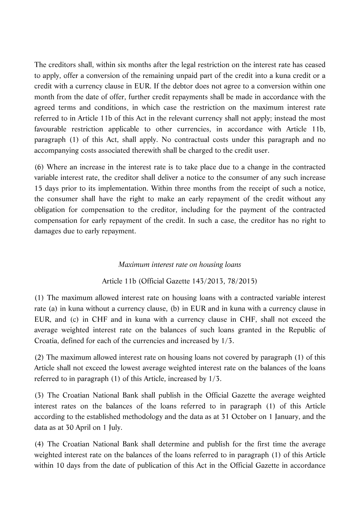The creditors shall, within six months after the legal restriction on the interest rate has ceased to apply, offer a conversion of the remaining unpaid part of the credit into a kuna credit or a credit with a currency clause in EUR. If the debtor does not agree to a conversion within one month from the date of offer, further credit repayments shall be made in accordance with the agreed terms and conditions, in which case the restriction on the maximum interest rate referred to in Article 11b of this Act in the relevant currency shall not apply; instead the most favourable restriction applicable to other currencies, in accordance with Article 11b, paragraph (1) of this Act, shall apply. No contractual costs under this paragraph and no accompanying costs associated therewith shall be charged to the credit user.

(6) Where an increase in the interest rate is to take place due to a change in the contracted variable interest rate, the creditor shall deliver a notice to the consumer of any such increase 15 days prior to its implementation. Within three months from the receipt of such a notice, the consumer shall have the right to make an early repayment of the credit without any obligation for compensation to the creditor, including for the payment of the contracted compensation for early repayment of the credit. In such a case, the creditor has no right to damages due to early repayment.

### *Maximum interest rate on housing loans*

Article 11b (Official Gazette 143/2013, 78/2015)

(1) The maximum allowed interest rate on housing loans with a contracted variable interest rate (a) in kuna without a currency clause, (b) in EUR and in kuna with a currency clause in EUR, and (c) in CHF and in kuna with a currency clause in CHF, shall not exceed the average weighted interest rate on the balances of such loans granted in the Republic of Croatia, defined for each of the currencies and increased by 1/3.

(2) The maximum allowed interest rate on housing loans not covered by paragraph (1) of this Article shall not exceed the lowest average weighted interest rate on the balances of the loans referred to in paragraph (1) of this Article, increased by 1/3.

(3) The Croatian National Bank shall publish in the Official Gazette the average weighted interest rates on the balances of the loans referred to in paragraph (1) of this Article according to the established methodology and the data as at 31 October on 1 January, and the data as at 30 April on 1 July.

(4) The Croatian National Bank shall determine and publish for the first time the average weighted interest rate on the balances of the loans referred to in paragraph (1) of this Article within 10 days from the date of publication of this Act in the Official Gazette in accordance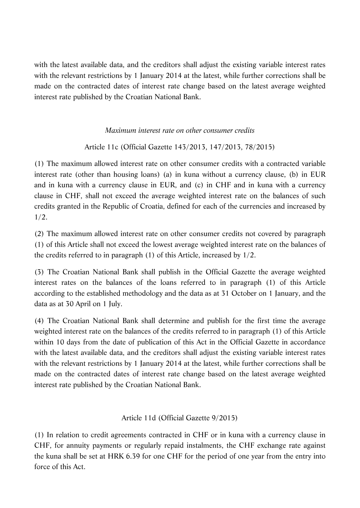with the latest available data, and the creditors shall adjust the existing variable interest rates with the relevant restrictions by 1 January 2014 at the latest, while further corrections shall be made on the contracted dates of interest rate change based on the latest average weighted interest rate published by the Croatian National Bank.

# *Maximum interest rate on other consumer credits*

# Article 11c (Official Gazette 143/2013, 147/2013, 78/2015)

(1) The maximum allowed interest rate on other consumer credits with a contracted variable interest rate (other than housing loans) (a) in kuna without a currency clause, (b) in EUR and in kuna with a currency clause in EUR, and (c) in CHF and in kuna with a currency clause in CHF, shall not exceed the average weighted interest rate on the balances of such credits granted in the Republic of Croatia, defined for each of the currencies and increased by 1/2.

(2) The maximum allowed interest rate on other consumer credits not covered by paragraph (1) of this Article shall not exceed the lowest average weighted interest rate on the balances of the credits referred to in paragraph (1) of this Article, increased by 1/2.

(3) The Croatian National Bank shall publish in the Official Gazette the average weighted interest rates on the balances of the loans referred to in paragraph (1) of this Article according to the established methodology and the data as at 31 October on 1 January, and the data as at 30 April on 1 July.

(4) The Croatian National Bank shall determine and publish for the first time the average weighted interest rate on the balances of the credits referred to in paragraph (1) of this Article within 10 days from the date of publication of this Act in the Official Gazette in accordance with the latest available data, and the creditors shall adjust the existing variable interest rates with the relevant restrictions by 1 January 2014 at the latest, while further corrections shall be made on the contracted dates of interest rate change based on the latest average weighted interest rate published by the Croatian National Bank.

# Article 11d (Official Gazette 9/2015)

(1) In relation to credit agreements contracted in CHF or in kuna with a currency clause in CHF, for annuity payments or regularly repaid instalments, the CHF exchange rate against the kuna shall be set at HRK 6.39 for one CHF for the period of one year from the entry into force of this Act.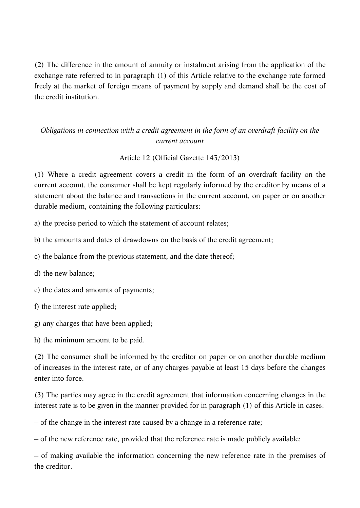(2) The difference in the amount of annuity or instalment arising from the application of the exchange rate referred to in paragraph (1) of this Article relative to the exchange rate formed freely at the market of foreign means of payment by supply and demand shall be the cost of the credit institution.

# *Obligations in connection with a credit agreement in the form of an overdraft facility on the current account*

# Article 12 (Official Gazette 143/2013)

(1) Where a credit agreement covers a credit in the form of an overdraft facility on the current account, the consumer shall be kept regularly informed by the creditor by means of a statement about the balance and transactions in the current account, on paper or on another durable medium, containing the following particulars:

a) the precise period to which the statement of account relates;

b) the amounts and dates of drawdowns on the basis of the credit agreement;

c) the balance from the previous statement, and the date thereof;

d) the new balance;

e) the dates and amounts of payments;

f) the interest rate applied;

g) any charges that have been applied;

h) the minimum amount to be paid.

(2) The consumer shall be informed by the creditor on paper or on another durable medium of increases in the interest rate, or of any charges payable at least 15 days before the changes enter into force.

(3) The parties may agree in the credit agreement that information concerning changes in the interest rate is to be given in the manner provided for in paragraph (1) of this Article in cases:

– of the change in the interest rate caused by a change in a reference rate;

– of the new reference rate, provided that the reference rate is made publicly available;

– of making available the information concerning the new reference rate in the premises of the creditor.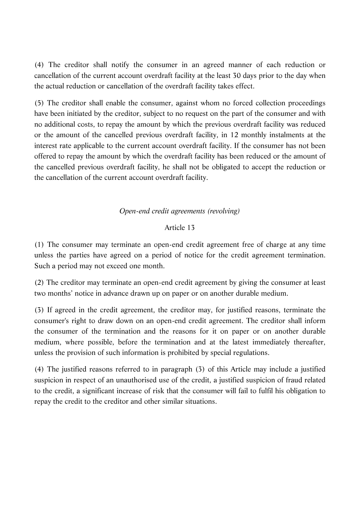(4) The creditor shall notify the consumer in an agreed manner of each reduction or cancellation of the current account overdraft facility at the least 30 days prior to the day when the actual reduction or cancellation of the overdraft facility takes effect.

(5) The creditor shall enable the consumer, against whom no forced collection proceedings have been initiated by the creditor, subject to no request on the part of the consumer and with no additional costs, to repay the amount by which the previous overdraft facility was reduced or the amount of the cancelled previous overdraft facility, in 12 monthly instalments at the interest rate applicable to the current account overdraft facility. If the consumer has not been offered to repay the amount by which the overdraft facility has been reduced or the amount of the cancelled previous overdraft facility, he shall not be obligated to accept the reduction or the cancellation of the current account overdraft facility.

# *Open-end credit agreements (revolving)*

### Article 13

(1) The consumer may terminate an open-end credit agreement free of charge at any time unless the parties have agreed on a period of notice for the credit agreement termination. Such a period may not exceed one month.

(2) The creditor may terminate an open-end credit agreement by giving the consumer at least two months' notice in advance drawn up on paper or on another durable medium.

(3) If agreed in the credit agreement, the creditor may, for justified reasons, terminate the consumer's right to draw down on an open-end credit agreement. The creditor shall inform the consumer of the termination and the reasons for it on paper or on another durable medium, where possible, before the termination and at the latest immediately thereafter, unless the provision of such information is prohibited by special regulations.

(4) The justified reasons referred to in paragraph (3) of this Article may include a justified suspicion in respect of an unauthorised use of the credit, a justified suspicion of fraud related to the credit, a significant increase of risk that the consumer will fail to fulfil his obligation to repay the credit to the creditor and other similar situations.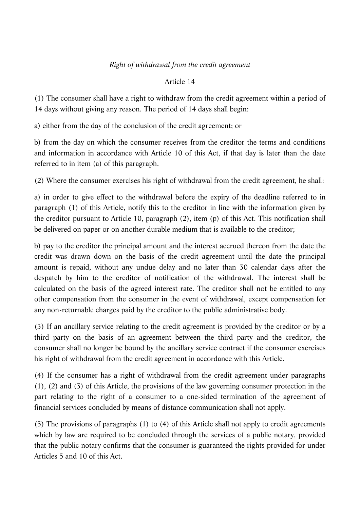# *Right of withdrawal from the credit agreement*

# Article 14

(1) The consumer shall have a right to withdraw from the credit agreement within a period of 14 days without giving any reason. The period of 14 days shall begin:

a) either from the day of the conclusion of the credit agreement; or

b) from the day on which the consumer receives from the creditor the terms and conditions and information in accordance with Article 10 of this Act, if that day is later than the date referred to in item (a) of this paragraph.

(2) Where the consumer exercises his right of withdrawal from the credit agreement, he shall:

a) in order to give effect to the withdrawal before the expiry of the deadline referred to in paragraph (1) of this Article, notify this to the creditor in line with the information given by the creditor pursuant to Article 10, paragraph (2), item (p) of this Act. This notification shall be delivered on paper or on another durable medium that is available to the creditor;

b) pay to the creditor the principal amount and the interest accrued thereon from the date the credit was drawn down on the basis of the credit agreement until the date the principal amount is repaid, without any undue delay and no later than 30 calendar days after the despatch by him to the creditor of notification of the withdrawal. The interest shall be calculated on the basis of the agreed interest rate. The creditor shall not be entitled to any other compensation from the consumer in the event of withdrawal, except compensation for any non-returnable charges paid by the creditor to the public administrative body.

(3) If an ancillary service relating to the credit agreement is provided by the creditor or by a third party on the basis of an agreement between the third party and the creditor, the consumer shall no longer be bound by the ancillary service contract if the consumer exercises his right of withdrawal from the credit agreement in accordance with this Article.

(4) If the consumer has a right of withdrawal from the credit agreement under paragraphs (1), (2) and (3) of this Article, the provisions of the law governing consumer protection in the part relating to the right of a consumer to a one-sided termination of the agreement of financial services concluded by means of distance communication shall not apply.

(5) The provisions of paragraphs (1) to (4) of this Article shall not apply to credit agreements which by law are required to be concluded through the services of a public notary, provided that the public notary confirms that the consumer is guaranteed the rights provided for under Articles 5 and 10 of this Act.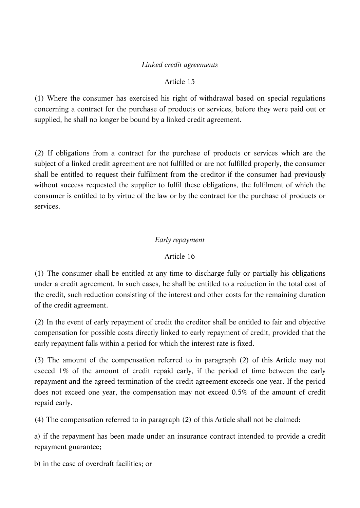# *Linked credit agreements*

### Article 15

(1) Where the consumer has exercised his right of withdrawal based on special regulations concerning a contract for the purchase of products or services, before they were paid out or supplied, he shall no longer be bound by a linked credit agreement.

(2) If obligations from a contract for the purchase of products or services which are the subject of a linked credit agreement are not fulfilled or are not fulfilled properly, the consumer shall be entitled to request their fulfilment from the creditor if the consumer had previously without success requested the supplier to fulfil these obligations, the fulfilment of which the consumer is entitled to by virtue of the law or by the contract for the purchase of products or services.

# *Early repayment*

# Article 16

(1) The consumer shall be entitled at any time to discharge fully or partially his obligations under a credit agreement. In such cases, he shall be entitled to a reduction in the total cost of the credit, such reduction consisting of the interest and other costs for the remaining duration of the credit agreement.

(2) In the event of early repayment of credit the creditor shall be entitled to fair and objective compensation for possible costs directly linked to early repayment of credit, provided that the early repayment falls within a period for which the interest rate is fixed.

(3) The amount of the compensation referred to in paragraph (2) of this Article may not exceed 1% of the amount of credit repaid early, if the period of time between the early repayment and the agreed termination of the credit agreement exceeds one year. If the period does not exceed one year, the compensation may not exceed 0.5% of the amount of credit repaid early.

(4) The compensation referred to in paragraph (2) of this Article shall not be claimed:

a) if the repayment has been made under an insurance contract intended to provide a credit repayment guarantee;

b) in the case of overdraft facilities; or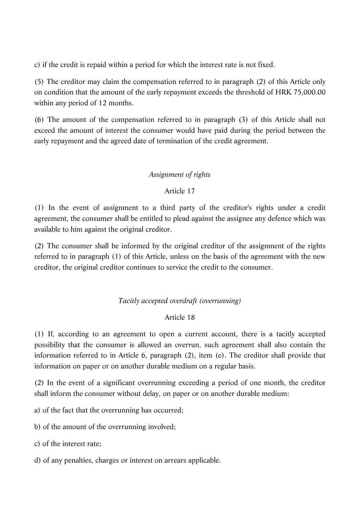c) if the credit is repaid within a period for which the interest rate is not fixed.

(5) The creditor may claim the compensation referred to in paragraph (2) of this Article only on condition that the amount of the early repayment exceeds the threshold of HRK 75,000.00 within any period of 12 months.

(6) The amount of the compensation referred to in paragraph (3) of this Article shall not exceed the amount of interest the consumer would have paid during the period between the early repayment and the agreed date of termination of the credit agreement.

# *Assignment of rights*

# Article 17

(1) In the event of assignment to a third party of the creditor's rights under a credit agreement, the consumer shall be entitled to plead against the assignee any defence which was available to him against the original creditor.

(2) The consumer shall be informed by the original creditor of the assignment of the rights referred to in paragraph (1) of this Article, unless on the basis of the agreement with the new creditor, the original creditor continues to service the credit to the consumer.

# *Tacitly accepted overdraft (overrunning)*

# Article 18

(1) If, according to an agreement to open a current account, there is a tacitly accepted possibility that the consumer is allowed an overrun, such agreement shall also contain the information referred to in Article 6, paragraph (2), item (e). The creditor shall provide that information on paper or on another durable medium on a regular basis.

(2) In the event of a significant overrunning exceeding a period of one month, the creditor shall inform the consumer without delay, on paper or on another durable medium:

a) of the fact that the overrunning has occurred;

- b) of the amount of the overrunning involved;
- c) of the interest rate;
- d) of any penalties, charges or interest on arrears applicable.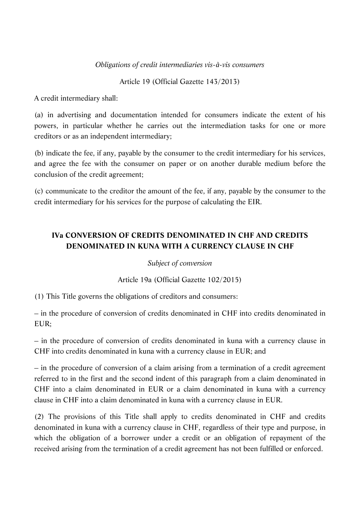### *Obligations of credit intermediaries vis-à-vis consumers*

Article 19 (Official Gazette 143/2013)

A credit intermediary shall:

(a) in advertising and documentation intended for consumers indicate the extent of his powers, in particular whether he carries out the intermediation tasks for one or more creditors or as an independent intermediary;

(b) indicate the fee, if any, payable by the consumer to the credit intermediary for his services, and agree the fee with the consumer on paper or on another durable medium before the conclusion of the credit agreement;

(c) communicate to the creditor the amount of the fee, if any, payable by the consumer to the credit intermediary for his services for the purpose of calculating the EIR.

# **IVa CONVERSION OF CREDITS DENOMINATED IN CHF AND CREDITS DENOMINATED IN KUNA WITH A CURRENCY CLAUSE IN CHF**

# *Subject of conversion*

# Article 19a (Official Gazette 102/2015)

(1) This Title governs the obligations of creditors and consumers:

– in the procedure of conversion of credits denominated in CHF into credits denominated in EUR;

– in the procedure of conversion of credits denominated in kuna with a currency clause in CHF into credits denominated in kuna with a currency clause in EUR; and

– in the procedure of conversion of a claim arising from a termination of a credit agreement referred to in the first and the second indent of this paragraph from a claim denominated in CHF into a claim denominated in EUR or a claim denominated in kuna with a currency clause in CHF into a claim denominated in kuna with a currency clause in EUR.

(2) The provisions of this Title shall apply to credits denominated in CHF and credits denominated in kuna with a currency clause in CHF, regardless of their type and purpose, in which the obligation of a borrower under a credit or an obligation of repayment of the received arising from the termination of a credit agreement has not been fulfilled or enforced.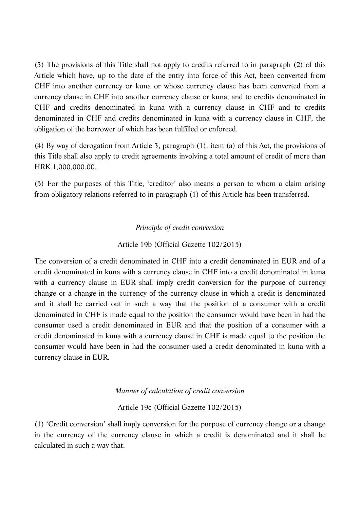(3) The provisions of this Title shall not apply to credits referred to in paragraph (2) of this Article which have, up to the date of the entry into force of this Act, been converted from CHF into another currency or kuna or whose currency clause has been converted from a currency clause in CHF into another currency clause or kuna, and to credits denominated in CHF and credits denominated in kuna with a currency clause in CHF and to credits denominated in CHF and credits denominated in kuna with a currency clause in CHF, the obligation of the borrower of which has been fulfilled or enforced.

(4) By way of derogation from Article 3, paragraph (1), item (a) of this Act, the provisions of this Title shall also apply to credit agreements involving a total amount of credit of more than HRK 1,000,000.00.

(5) For the purposes of this Title, 'creditor' also means a person to whom a claim arising from obligatory relations referred to in paragraph (1) of this Article has been transferred.

### *Principle of credit conversion*

### Article 19b (Official Gazette 102/2015)

The conversion of a credit denominated in CHF into a credit denominated in EUR and of a credit denominated in kuna with a currency clause in CHF into a credit denominated in kuna with a currency clause in EUR shall imply credit conversion for the purpose of currency change or a change in the currency of the currency clause in which a credit is denominated and it shall be carried out in such a way that the position of a consumer with a credit denominated in CHF is made equal to the position the consumer would have been in had the consumer used a credit denominated in EUR and that the position of a consumer with a credit denominated in kuna with a currency clause in CHF is made equal to the position the consumer would have been in had the consumer used a credit denominated in kuna with a currency clause in EUR.

#### *Manner of calculation of credit conversion*

#### Article 19c (Official Gazette 102/2015)

(1) 'Credit conversion' shall imply conversion for the purpose of currency change or a change in the currency of the currency clause in which a credit is denominated and it shall be calculated in such a way that: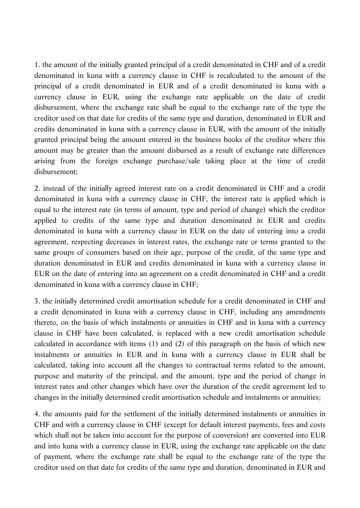1. the amount of the initially granted principal of a credit denominated in CHF and of a credit denominated in kuna with a currency clause in CHF is recalculated to the amount of the principal of a credit denominated in EUR and of a credit denominated in kuna with a currency clause in EUR, using the exchange rate applicable on the date of credit disbursement, where the exchange rate shall be equal to the exchange rate of the type the creditor used on that date for credits of the same type and duration, denominated in EUR and credits denominated in kuna with a currency clause in EUR, with the amount of the initially granted principal being the amount entered in the business books of the creditor where this amount may be greater than the amount disbursed as a result of exchange rate differences arising from the foreign exchange purchase/sale taking place at the time of credit disbursement;

2. instead of the initially agreed interest rate on a credit denominated in CHF and a credit denominated in kuna with a currency clause in CHF, the interest rate is applied which is equal to the interest rate (in terms of amount, type and period of change) which the creditor applied to credits of the same type and duration denominated in EUR and credits denominated in kuna with a currency clause in EUR on the date of entering into a credit agreement, respecting decreases in interest rates, the exchange rate or terms granted to the same groups of consumers based on their age, purpose of the credit, of the same type and duration denominated in EUR and credits denominated in kuna with a currency clause in EUR on the date of entering into an agreement on a credit denominated in CHF and a credit denominated in kuna with a currency clause in CHF;

3. the initially determined credit amortisation schedule for a credit denominated in CHF and a credit denominated in kuna with a currency clause in CHF, including any amendments thereto, on the basis of which instalments or annuities in CHF and in kuna with a currency clause in CHF have been calculated, is replaced with a new credit amortisation schedule calculated in accordance with items (1) and (2) of this paragraph on the basis of which new instalments or annuities in EUR and in kuna with a currency clause in EUR shall be calculated, taking into account all the changes to contractual terms related to the amount, purpose and maturity of the principal, and the amount, type and the period of change in interest rates and other changes which have over the duration of the credit agreement led to changes in the initially determined credit amortisation schedule and instalments or annuities;

4. the amounts paid for the settlement of the initially determined instalments or annuities in CHF and with a currency clause in CHF (except for default interest payments, fees and costs which shall not be taken into account for the purpose of conversion) are converted into EUR and into kuna with a currency clause in EUR, using the exchange rate applicable on the date of payment, where the exchange rate shall be equal to the exchange rate of the type the creditor used on that date for credits of the same type and duration, denominated in EUR and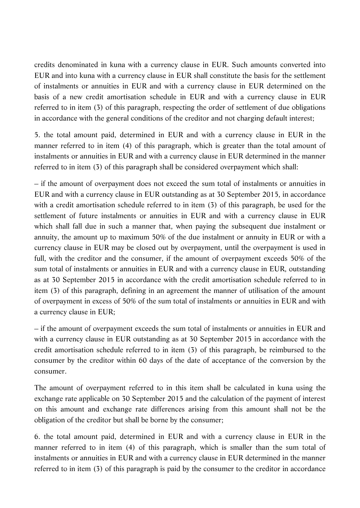credits denominated in kuna with a currency clause in EUR. Such amounts converted into EUR and into kuna with a currency clause in EUR shall constitute the basis for the settlement of instalments or annuities in EUR and with a currency clause in EUR determined on the basis of a new credit amortisation schedule in EUR and with a currency clause in EUR referred to in item (3) of this paragraph, respecting the order of settlement of due obligations in accordance with the general conditions of the creditor and not charging default interest;

5. the total amount paid, determined in EUR and with a currency clause in EUR in the manner referred to in item (4) of this paragraph, which is greater than the total amount of instalments or annuities in EUR and with a currency clause in EUR determined in the manner referred to in item (3) of this paragraph shall be considered overpayment which shall:

– if the amount of overpayment does not exceed the sum total of instalments or annuities in EUR and with a currency clause in EUR outstanding as at 30 September 2015, in accordance with a credit amortisation schedule referred to in item (3) of this paragraph, be used for the settlement of future instalments or annuities in EUR and with a currency clause in EUR which shall fall due in such a manner that, when paying the subsequent due instalment or annuity, the amount up to maximum 50% of the due instalment or annuity in EUR or with a currency clause in EUR may be closed out by overpayment, until the overpayment is used in full, with the creditor and the consumer, if the amount of overpayment exceeds 50% of the sum total of instalments or annuities in EUR and with a currency clause in EUR, outstanding as at 30 September 2015 in accordance with the credit amortisation schedule referred to in item (3) of this paragraph, defining in an agreement the manner of utilisation of the amount of overpayment in excess of 50% of the sum total of instalments or annuities in EUR and with a currency clause in EUR;

– if the amount of overpayment exceeds the sum total of instalments or annuities in EUR and with a currency clause in EUR outstanding as at 30 September 2015 in accordance with the credit amortisation schedule referred to in item (3) of this paragraph, be reimbursed to the consumer by the creditor within 60 days of the date of acceptance of the conversion by the consumer.

The amount of overpayment referred to in this item shall be calculated in kuna using the exchange rate applicable on 30 September 2015 and the calculation of the payment of interest on this amount and exchange rate differences arising from this amount shall not be the obligation of the creditor but shall be borne by the consumer;

6. the total amount paid, determined in EUR and with a currency clause in EUR in the manner referred to in item (4) of this paragraph, which is smaller than the sum total of instalments or annuities in EUR and with a currency clause in EUR determined in the manner referred to in item (3) of this paragraph is paid by the consumer to the creditor in accordance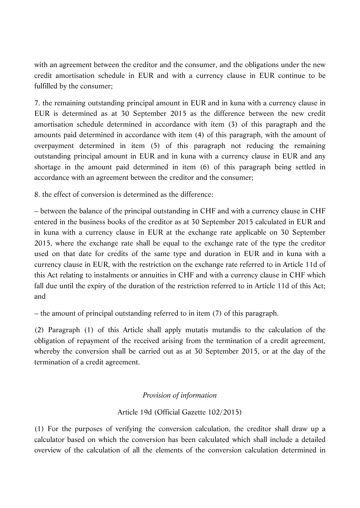with an agreement between the creditor and the consumer, and the obligations under the new credit amortisation schedule in EUR and with a currency clause in EUR continue to be fulfilled by the consumer;

7. the remaining outstanding principal amount in EUR and in kuna with a currency clause in EUR is determined as at 30 September 2015 as the difference between the new credit amortisation schedule determined in accordance with item (3) of this paragraph and the amounts paid determined in accordance with item (4) of this paragraph, with the amount of overpayment determined in item (5) of this paragraph not reducing the remaining outstanding principal amount in EUR and in kuna with a currency clause in EUR and any shortage in the amount paid determined in item (6) of this paragraph being settled in accordance with an agreement between the creditor and the consumer;

8. the effect of conversion is determined as the difference:

– between the balance of the principal outstanding in CHF and with a currency clause in CHF entered in the business books of the creditor as at 30 September 2015 calculated in EUR and in kuna with a currency clause in EUR at the exchange rate applicable on 30 September 2015, where the exchange rate shall be equal to the exchange rate of the type the creditor used on that date for credits of the same type and duration in EUR and in kuna with a currency clause in EUR, with the restriction on the exchange rate referred to in Article 11d of this Act relating to instalments or annuities in CHF and with a currency clause in CHF which fall due until the expiry of the duration of the restriction referred to in Article 11d of this Act; and

– the amount of principal outstanding referred to in item (7) of this paragraph.

(2) Paragraph (1) of this Article shall apply mutatis mutandis to the calculation of the obligation of repayment of the received arising from the termination of a credit agreement, whereby the conversion shall be carried out as at 30 September 2015, or at the day of the termination of a credit agreement.

# *Provision of information*

# Article 19d (Official Gazette 102/2015)

(1) For the purposes of verifying the conversion calculation, the creditor shall draw up a calculator based on which the conversion has been calculated which shall include a detailed overview of the calculation of all the elements of the conversion calculation determined in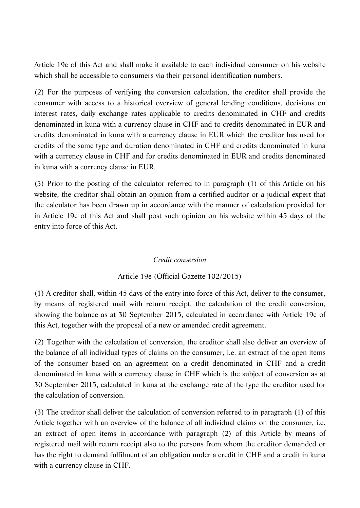Article 19c of this Act and shall make it available to each individual consumer on his website which shall be accessible to consumers via their personal identification numbers.

(2) For the purposes of verifying the conversion calculation, the creditor shall provide the consumer with access to a historical overview of general lending conditions, decisions on interest rates, daily exchange rates applicable to credits denominated in CHF and credits denominated in kuna with a currency clause in CHF and to credits denominated in EUR and credits denominated in kuna with a currency clause in EUR which the creditor has used for credits of the same type and duration denominated in CHF and credits denominated in kuna with a currency clause in CHF and for credits denominated in EUR and credits denominated in kuna with a currency clause in EUR.

(3) Prior to the posting of the calculator referred to in paragraph (1) of this Article on his website, the creditor shall obtain an opinion from a certified auditor or a judicial expert that the calculator has been drawn up in accordance with the manner of calculation provided for in Article 19c of this Act and shall post such opinion on his website within 45 days of the entry into force of this Act.

# *Credit conversion*

# Article 19e (Official Gazette 102/2015)

(1) A creditor shall, within 45 days of the entry into force of this Act, deliver to the consumer, by means of registered mail with return receipt, the calculation of the credit conversion, showing the balance as at 30 September 2015, calculated in accordance with Article 19c of this Act, together with the proposal of a new or amended credit agreement.

(2) Together with the calculation of conversion, the creditor shall also deliver an overview of the balance of all individual types of claims on the consumer, i.e. an extract of the open items of the consumer based on an agreement on a credit denominated in CHF and a credit denominated in kuna with a currency clause in CHF which is the subject of conversion as at 30 September 2015, calculated in kuna at the exchange rate of the type the creditor used for the calculation of conversion.

(3) The creditor shall deliver the calculation of conversion referred to in paragraph (1) of this Article together with an overview of the balance of all individual claims on the consumer, i.e. an extract of open items in accordance with paragraph (2) of this Article by means of registered mail with return receipt also to the persons from whom the creditor demanded or has the right to demand fulfilment of an obligation under a credit in CHF and a credit in kuna with a currency clause in CHF.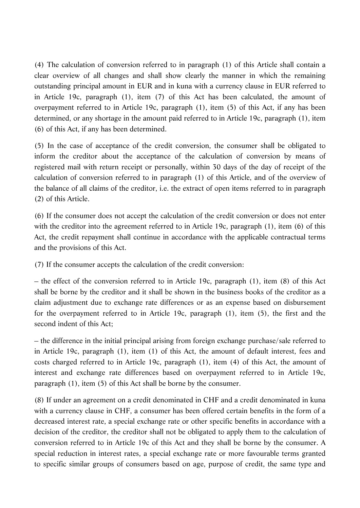(4) The calculation of conversion referred to in paragraph (1) of this Article shall contain a clear overview of all changes and shall show clearly the manner in which the remaining outstanding principal amount in EUR and in kuna with a currency clause in EUR referred to in Article 19c, paragraph (1), item (7) of this Act has been calculated, the amount of overpayment referred to in Article 19c, paragraph (1), item (5) of this Act, if any has been determined, or any shortage in the amount paid referred to in Article 19c, paragraph (1), item (6) of this Act, if any has been determined.

(5) In the case of acceptance of the credit conversion, the consumer shall be obligated to inform the creditor about the acceptance of the calculation of conversion by means of registered mail with return receipt or personally, within 30 days of the day of receipt of the calculation of conversion referred to in paragraph (1) of this Article, and of the overview of the balance of all claims of the creditor, i.e. the extract of open items referred to in paragraph (2) of this Article.

(6) If the consumer does not accept the calculation of the credit conversion or does not enter with the creditor into the agreement referred to in Article 19c, paragraph (1), item (6) of this Act, the credit repayment shall continue in accordance with the applicable contractual terms and the provisions of this Act.

(7) If the consumer accepts the calculation of the credit conversion:

– the effect of the conversion referred to in Article 19c, paragraph (1), item (8) of this Act shall be borne by the creditor and it shall be shown in the business books of the creditor as a claim adjustment due to exchange rate differences or as an expense based on disbursement for the overpayment referred to in Article 19c, paragraph (1), item (5), the first and the second indent of this Act;

– the difference in the initial principal arising from foreign exchange purchase/sale referred to in Article 19c, paragraph (1), item (1) of this Act, the amount of default interest, fees and costs charged referred to in Article 19c, paragraph (1), item (4) of this Act, the amount of interest and exchange rate differences based on overpayment referred to in Article 19c, paragraph (1), item (5) of this Act shall be borne by the consumer.

(8) If under an agreement on a credit denominated in CHF and a credit denominated in kuna with a currency clause in CHF, a consumer has been offered certain benefits in the form of a decreased interest rate, a special exchange rate or other specific benefits in accordance with a decision of the creditor, the creditor shall not be obligated to apply them to the calculation of conversion referred to in Article 19c of this Act and they shall be borne by the consumer. A special reduction in interest rates, a special exchange rate or more favourable terms granted to specific similar groups of consumers based on age, purpose of credit, the same type and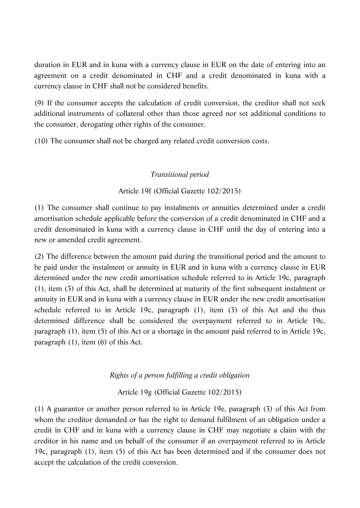duration in EUR and in kuna with a currency clause in EUR on the date of entering into an agreement on a credit denominated in CHF and a credit denominated in kuna with a currency clause in CHF shall not be considered benefits.

(9) If the consumer accepts the calculation of credit conversion, the creditor shall not seek additional instruments of collateral other than those agreed nor set additional conditions to the consumer, derogating other rights of the consumer.

(10) The consumer shall not be charged any related credit conversion costs.

# *Transitional period*

# Article 19f (Official Gazette 102/2015)

(1) The consumer shall continue to pay instalments or annuities determined under a credit amortisation schedule applicable before the conversion of a credit denominated in CHF and a credit denominated in kuna with a currency clause in CHF until the day of entering into a new or amended credit agreement.

(2) The difference between the amount paid during the transitional period and the amount to be paid under the instalment or annuity in EUR and in kuna with a currency clause in EUR determined under the new credit amortisation schedule referred to in Article 19c, paragraph (1), item (3) of this Act, shall be determined at maturity of the first subsequent instalment or annuity in EUR and in kuna with a currency clause in EUR under the new credit amortisation schedule referred to in Article 19c, paragraph (1), item (3) of this Act and the thus determined difference shall be considered the overpayment referred to in Article 19c, paragraph (1), item (5) of this Act or a shortage in the amount paid referred to in Article 19c, paragraph (1), item (6) of this Act.

# *Rights of a person fulfilling a credit obligation*

Article 19g (Official Gazette 102/2015)

(1) A guarantor or another person referred to in Article 19e, paragraph (3) of this Act from whom the creditor demanded or has the right to demand fulfilment of an obligation under a credit in CHF and in kuna with a currency clause in CHF may negotiate a claim with the creditor in his name and on behalf of the consumer if an overpayment referred to in Article 19c, paragraph (1), item (5) of this Act has been determined and if the consumer does not accept the calculation of the credit conversion.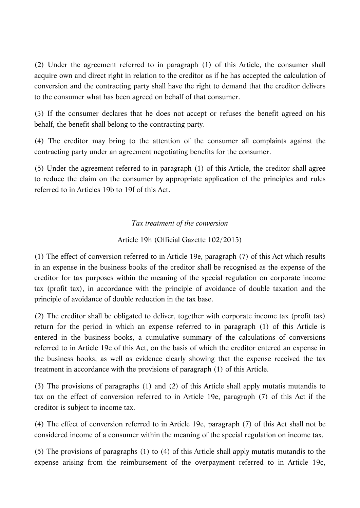(2) Under the agreement referred to in paragraph (1) of this Article, the consumer shall acquire own and direct right in relation to the creditor as if he has accepted the calculation of conversion and the contracting party shall have the right to demand that the creditor delivers to the consumer what has been agreed on behalf of that consumer.

(3) If the consumer declares that he does not accept or refuses the benefit agreed on his behalf, the benefit shall belong to the contracting party.

(4) The creditor may bring to the attention of the consumer all complaints against the contracting party under an agreement negotiating benefits for the consumer.

(5) Under the agreement referred to in paragraph (1) of this Article, the creditor shall agree to reduce the claim on the consumer by appropriate application of the principles and rules referred to in Articles 19b to 19f of this Act.

# *Tax treatment of the conversion*

# Article 19h (Official Gazette 102/2015)

(1) The effect of conversion referred to in Article 19e, paragraph (7) of this Act which results in an expense in the business books of the creditor shall be recognised as the expense of the creditor for tax purposes within the meaning of the special regulation on corporate income tax (profit tax), in accordance with the principle of avoidance of double taxation and the principle of avoidance of double reduction in the tax base.

(2) The creditor shall be obligated to deliver, together with corporate income tax (profit tax) return for the period in which an expense referred to in paragraph (1) of this Article is entered in the business books, a cumulative summary of the calculations of conversions referred to in Article 19e of this Act, on the basis of which the creditor entered an expense in the business books, as well as evidence clearly showing that the expense received the tax treatment in accordance with the provisions of paragraph (1) of this Article.

(3) The provisions of paragraphs (1) and (2) of this Article shall apply mutatis mutandis to tax on the effect of conversion referred to in Article 19e, paragraph (7) of this Act if the creditor is subject to income tax.

(4) The effect of conversion referred to in Article 19e, paragraph (7) of this Act shall not be considered income of a consumer within the meaning of the special regulation on income tax.

(5) The provisions of paragraphs (1) to (4) of this Article shall apply mutatis mutandis to the expense arising from the reimbursement of the overpayment referred to in Article 19c,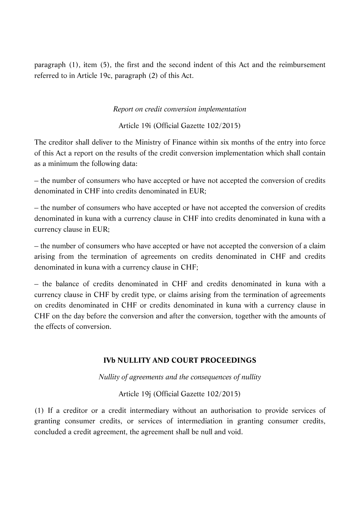paragraph (1), item (5), the first and the second indent of this Act and the reimbursement referred to in Article 19c, paragraph (2) of this Act.

### *Report on credit conversion implementation*

Article 19i (Official Gazette 102/2015)

The creditor shall deliver to the Ministry of Finance within six months of the entry into force of this Act a report on the results of the credit conversion implementation which shall contain as a minimum the following data:

– the number of consumers who have accepted or have not accepted the conversion of credits denominated in CHF into credits denominated in EUR;

– the number of consumers who have accepted or have not accepted the conversion of credits denominated in kuna with a currency clause in CHF into credits denominated in kuna with a currency clause in EUR;

– the number of consumers who have accepted or have not accepted the conversion of a claim arising from the termination of agreements on credits denominated in CHF and credits denominated in kuna with a currency clause in CHF;

– the balance of credits denominated in CHF and credits denominated in kuna with a currency clause in CHF by credit type, or claims arising from the termination of agreements on credits denominated in CHF or credits denominated in kuna with a currency clause in CHF on the day before the conversion and after the conversion, together with the amounts of the effects of conversion.

# **IVb NULLITY AND COURT PROCEEDINGS**

*Nullity of agreements and the consequences of nullity*

Article 19j (Official Gazette 102/2015)

(1) If a creditor or a credit intermediary without an authorisation to provide services of granting consumer credits, or services of intermediation in granting consumer credits, concluded a credit agreement, the agreement shall be null and void.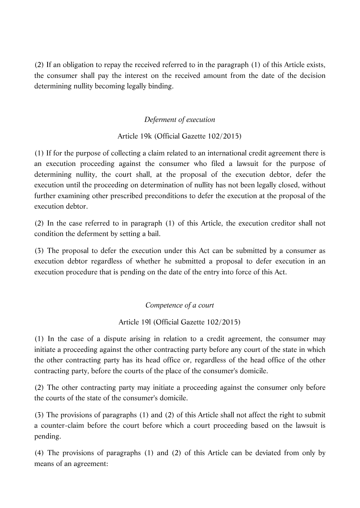(2) If an obligation to repay the received referred to in the paragraph (1) of this Article exists, the consumer shall pay the interest on the received amount from the date of the decision determining nullity becoming legally binding.

# *Deferment of execution*

# Article 19k (Official Gazette 102/2015)

(1) If for the purpose of collecting a claim related to an international credit agreement there is an execution proceeding against the consumer who filed a lawsuit for the purpose of determining nullity, the court shall, at the proposal of the execution debtor, defer the execution until the proceeding on determination of nullity has not been legally closed, without further examining other prescribed preconditions to defer the execution at the proposal of the execution debtor.

(2) In the case referred to in paragraph (1) of this Article, the execution creditor shall not condition the deferment by setting a bail.

(3) The proposal to defer the execution under this Act can be submitted by a consumer as execution debtor regardless of whether he submitted a proposal to defer execution in an execution procedure that is pending on the date of the entry into force of this Act.

# *Competence of a court*

# Article 19l (Official Gazette 102/2015)

(1) In the case of a dispute arising in relation to a credit agreement, the consumer may initiate a proceeding against the other contracting party before any court of the state in which the other contracting party has its head office or, regardless of the head office of the other contracting party, before the courts of the place of the consumer's domicile.

(2) The other contracting party may initiate a proceeding against the consumer only before the courts of the state of the consumer's domicile.

(3) The provisions of paragraphs (1) and (2) of this Article shall not affect the right to submit a counter-claim before the court before which a court proceeding based on the lawsuit is pending.

(4) The provisions of paragraphs (1) and (2) of this Article can be deviated from only by means of an agreement: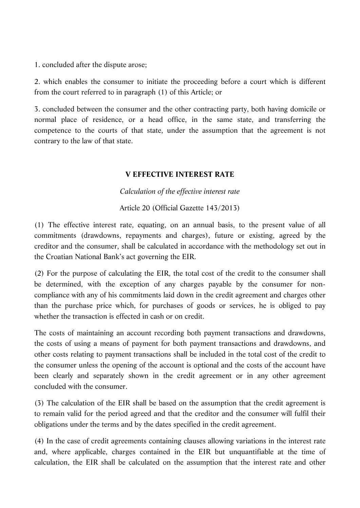1. concluded after the dispute arose;

2. which enables the consumer to initiate the proceeding before a court which is different from the court referred to in paragraph (1) of this Article; or

3. concluded between the consumer and the other contracting party, both having domicile or normal place of residence, or a head office, in the same state, and transferring the competence to the courts of that state, under the assumption that the agreement is not contrary to the law of that state.

# **V EFFECTIVE INTEREST RATE**

*Calculation of the effective interest rate*

Article 20 (Official Gazette 143/2013)

(1) The effective interest rate, equating, on an annual basis, to the present value of all commitments (drawdowns, repayments and charges), future or existing, agreed by the creditor and the consumer, shall be calculated in accordance with the methodology set out in the Croatian National Bank's act governing the EIR.

(2) For the purpose of calculating the EIR, the total cost of the credit to the consumer shall be determined, with the exception of any charges payable by the consumer for noncompliance with any of his commitments laid down in the credit agreement and charges other than the purchase price which, for purchases of goods or services, he is obliged to pay whether the transaction is effected in cash or on credit.

The costs of maintaining an account recording both payment transactions and drawdowns, the costs of using a means of payment for both payment transactions and drawdowns, and other costs relating to payment transactions shall be included in the total cost of the credit to the consumer unless the opening of the account is optional and the costs of the account have been clearly and separately shown in the credit agreement or in any other agreement concluded with the consumer.

(3) The calculation of the EIR shall be based on the assumption that the credit agreement is to remain valid for the period agreed and that the creditor and the consumer will fulfil their obligations under the terms and by the dates specified in the credit agreement.

(4) In the case of credit agreements containing clauses allowing variations in the interest rate and, where applicable, charges contained in the EIR but unquantifiable at the time of calculation, the EIR shall be calculated on the assumption that the interest rate and other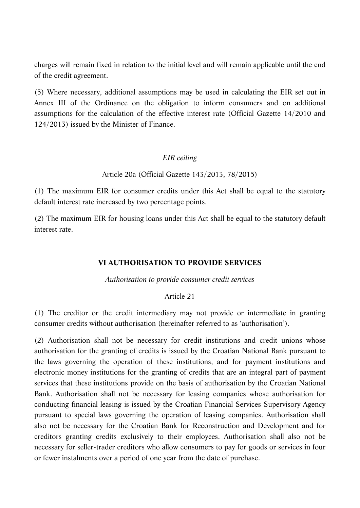charges will remain fixed in relation to the initial level and will remain applicable until the end of the credit agreement.

(5) Where necessary, additional assumptions may be used in calculating the EIR set out in Annex III of the Ordinance on the obligation to inform consumers and on additional assumptions for the calculation of the effective interest rate (Official Gazette 14/2010 and 124/2013) issued by the Minister of Finance.

# *EIR ceiling*

Article 20a (Official Gazette 143/2013, 78/2015)

(1) The maximum EIR for consumer credits under this Act shall be equal to the statutory default interest rate increased by two percentage points.

(2) The maximum EIR for housing loans under this Act shall be equal to the statutory default interest rate.

# **VI AUTHORISATION TO PROVIDE SERVICES**

*Authorisation to provide consumer credit services*

### Article 21

(1) The creditor or the credit intermediary may not provide or intermediate in granting consumer credits without authorisation (hereinafter referred to as 'authorisation').

(2) Authorisation shall not be necessary for credit institutions and credit unions whose authorisation for the granting of credits is issued by the Croatian National Bank pursuant to the laws governing the operation of these institutions, and for payment institutions and electronic money institutions for the granting of credits that are an integral part of payment services that these institutions provide on the basis of authorisation by the Croatian National Bank. Authorisation shall not be necessary for leasing companies whose authorisation for conducting financial leasing is issued by the Croatian Financial Services Supervisory Agency pursuant to special laws governing the operation of leasing companies. Authorisation shall also not be necessary for the Croatian Bank for Reconstruction and Development and for creditors granting credits exclusively to their employees. Authorisation shall also not be necessary for seller-trader creditors who allow consumers to pay for goods or services in four or fewer instalments over a period of one year from the date of purchase.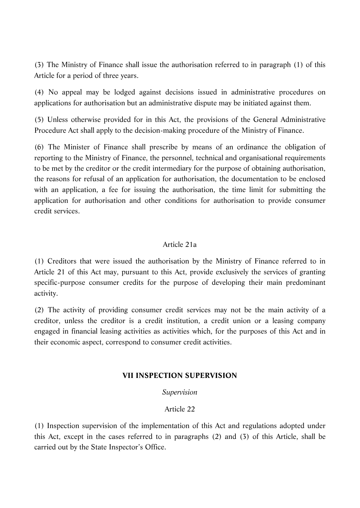(3) The Ministry of Finance shall issue the authorisation referred to in paragraph (1) of this Article for a period of three years.

(4) No appeal may be lodged against decisions issued in administrative procedures on applications for authorisation but an administrative dispute may be initiated against them.

(5) Unless otherwise provided for in this Act, the provisions of the General Administrative Procedure Act shall apply to the decision-making procedure of the Ministry of Finance.

(6) The Minister of Finance shall prescribe by means of an ordinance the obligation of reporting to the Ministry of Finance, the personnel, technical and organisational requirements to be met by the creditor or the credit intermediary for the purpose of obtaining authorisation, the reasons for refusal of an application for authorisation, the documentation to be enclosed with an application, a fee for issuing the authorisation, the time limit for submitting the application for authorisation and other conditions for authorisation to provide consumer credit services.

# Article 21a

(1) Creditors that were issued the authorisation by the Ministry of Finance referred to in Article 21 of this Act may, pursuant to this Act, provide exclusively the services of granting specific-purpose consumer credits for the purpose of developing their main predominant activity.

(2) The activity of providing consumer credit services may not be the main activity of a creditor, unless the creditor is a credit institution, a credit union or a leasing company engaged in financial leasing activities as activities which, for the purposes of this Act and in their economic aspect, correspond to consumer credit activities.

# **VII INSPECTION SUPERVISION**

### *Supervision*

# Article 22

(1) Inspection supervision of the implementation of this Act and regulations adopted under this Act, except in the cases referred to in paragraphs (2) and (3) of this Article, shall be carried out by the State Inspector's Office.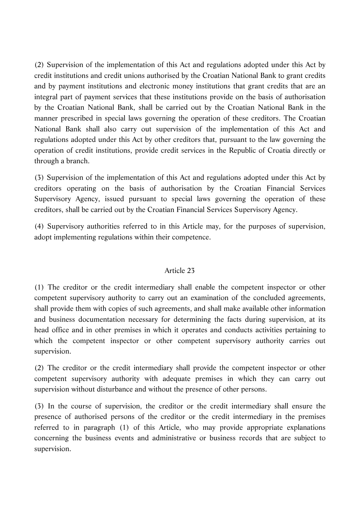(2) Supervision of the implementation of this Act and regulations adopted under this Act by credit institutions and credit unions authorised by the Croatian National Bank to grant credits and by payment institutions and electronic money institutions that grant credits that are an integral part of payment services that these institutions provide on the basis of authorisation by the Croatian National Bank, shall be carried out by the Croatian National Bank in the manner prescribed in special laws governing the operation of these creditors. The Croatian National Bank shall also carry out supervision of the implementation of this Act and regulations adopted under this Act by other creditors that, pursuant to the law governing the operation of credit institutions, provide credit services in the Republic of Croatia directly or through a branch.

(3) Supervision of the implementation of this Act and regulations adopted under this Act by creditors operating on the basis of authorisation by the Croatian Financial Services Supervisory Agency, issued pursuant to special laws governing the operation of these creditors, shall be carried out by the Croatian Financial Services Supervisory Agency.

(4) Supervisory authorities referred to in this Article may, for the purposes of supervision, adopt implementing regulations within their competence.

### Article 23

(1) The creditor or the credit intermediary shall enable the competent inspector or other competent supervisory authority to carry out an examination of the concluded agreements, shall provide them with copies of such agreements, and shall make available other information and business documentation necessary for determining the facts during supervision, at its head office and in other premises in which it operates and conducts activities pertaining to which the competent inspector or other competent supervisory authority carries out supervision.

(2) The creditor or the credit intermediary shall provide the competent inspector or other competent supervisory authority with adequate premises in which they can carry out supervision without disturbance and without the presence of other persons.

(3) In the course of supervision, the creditor or the credit intermediary shall ensure the presence of authorised persons of the creditor or the credit intermediary in the premises referred to in paragraph (1) of this Article, who may provide appropriate explanations concerning the business events and administrative or business records that are subject to supervision.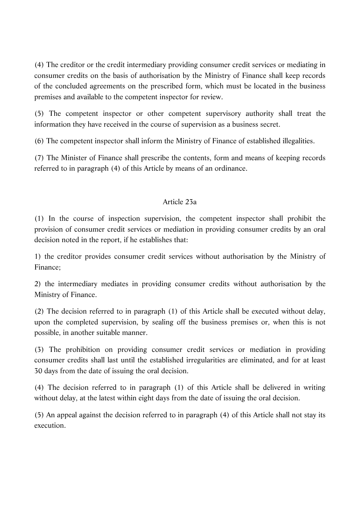(4) The creditor or the credit intermediary providing consumer credit services or mediating in consumer credits on the basis of authorisation by the Ministry of Finance shall keep records of the concluded agreements on the prescribed form, which must be located in the business premises and available to the competent inspector for review.

(5) The competent inspector or other competent supervisory authority shall treat the information they have received in the course of supervision as a business secret.

(6) The competent inspector shall inform the Ministry of Finance of established illegalities.

(7) The Minister of Finance shall prescribe the contents, form and means of keeping records referred to in paragraph (4) of this Article by means of an ordinance.

# Article 23a

(1) In the course of inspection supervision, the competent inspector shall prohibit the provision of consumer credit services or mediation in providing consumer credits by an oral decision noted in the report, if he establishes that:

1) the creditor provides consumer credit services without authorisation by the Ministry of Finance;

2) the intermediary mediates in providing consumer credits without authorisation by the Ministry of Finance.

(2) The decision referred to in paragraph (1) of this Article shall be executed without delay, upon the completed supervision, by sealing off the business premises or, when this is not possible, in another suitable manner.

(3) The prohibition on providing consumer credit services or mediation in providing consumer credits shall last until the established irregularities are eliminated, and for at least 30 days from the date of issuing the oral decision.

(4) The decision referred to in paragraph (1) of this Article shall be delivered in writing without delay, at the latest within eight days from the date of issuing the oral decision.

(5) An appeal against the decision referred to in paragraph (4) of this Article shall not stay its execution.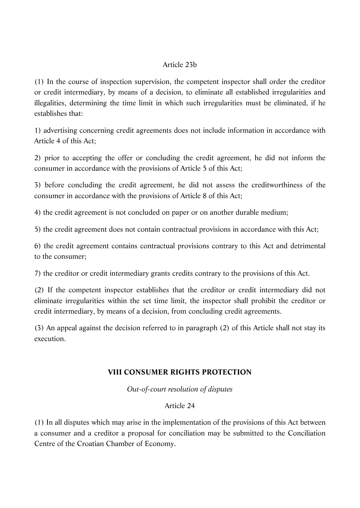### Article 23b

(1) In the course of inspection supervision, the competent inspector shall order the creditor or credit intermediary, by means of a decision, to eliminate all established irregularities and illegalities, determining the time limit in which such irregularities must be eliminated, if he establishes that:

1) advertising concerning credit agreements does not include information in accordance with Article 4 of this Act;

2) prior to accepting the offer or concluding the credit agreement, he did not inform the consumer in accordance with the provisions of Article 5 of this Act;

3) before concluding the credit agreement, he did not assess the creditworthiness of the consumer in accordance with the provisions of Article 8 of this Act;

4) the credit agreement is not concluded on paper or on another durable medium;

5) the credit agreement does not contain contractual provisions in accordance with this Act;

6) the credit agreement contains contractual provisions contrary to this Act and detrimental to the consumer;

7) the creditor or credit intermediary grants credits contrary to the provisions of this Act.

(2) If the competent inspector establishes that the creditor or credit intermediary did not eliminate irregularities within the set time limit, the inspector shall prohibit the creditor or credit intermediary, by means of a decision, from concluding credit agreements.

(3) An appeal against the decision referred to in paragraph (2) of this Article shall not stay its execution.

# **VIII CONSUMER RIGHTS PROTECTION**

*Out-of-court resolution of disputes*

# Article 24

(1) In all disputes which may arise in the implementation of the provisions of this Act between a consumer and a creditor a proposal for conciliation may be submitted to the Conciliation Centre of the Croatian Chamber of Economy.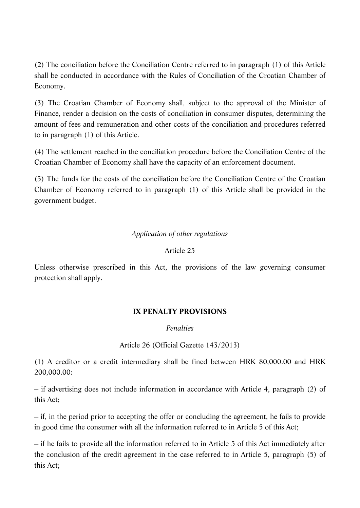(2) The conciliation before the Conciliation Centre referred to in paragraph (1) of this Article shall be conducted in accordance with the Rules of Conciliation of the Croatian Chamber of Economy.

(3) The Croatian Chamber of Economy shall, subject to the approval of the Minister of Finance, render a decision on the costs of conciliation in consumer disputes, determining the amount of fees and remuneration and other costs of the conciliation and procedures referred to in paragraph (1) of this Article.

(4) The settlement reached in the conciliation procedure before the Conciliation Centre of the Croatian Chamber of Economy shall have the capacity of an enforcement document.

(5) The funds for the costs of the conciliation before the Conciliation Centre of the Croatian Chamber of Economy referred to in paragraph (1) of this Article shall be provided in the government budget.

# *Application of other regulations*

### Article 25

Unless otherwise prescribed in this Act, the provisions of the law governing consumer protection shall apply.

# **IX PENALTY PROVISIONS**

*Penalties*

Article 26 (Official Gazette 143/2013)

(1) A creditor or a credit intermediary shall be fined between HRK 80,000.00 and HRK 200,000.00:

– if advertising does not include information in accordance with Article 4, paragraph (2) of this Act;

– if, in the period prior to accepting the offer or concluding the agreement, he fails to provide in good time the consumer with all the information referred to in Article 5 of this Act;

– if he fails to provide all the information referred to in Article 5 of this Act immediately after the conclusion of the credit agreement in the case referred to in Article 5, paragraph (5) of this Act;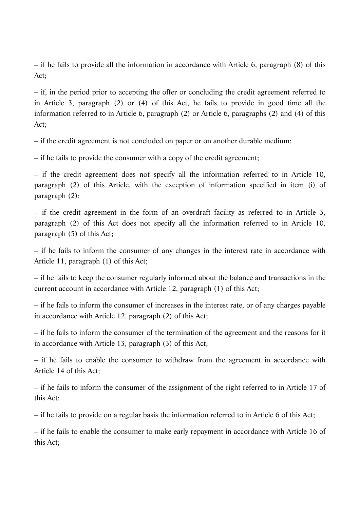– if he fails to provide all the information in accordance with Article 6, paragraph (8) of this Act;

– if, in the period prior to accepting the offer or concluding the credit agreement referred to in Article 3, paragraph (2) or (4) of this Act, he fails to provide in good time all the information referred to in Article 6, paragraph (2) or Article 6, paragraphs (2) and (4) of this Act;

– if the credit agreement is not concluded on paper or on another durable medium;

– if he fails to provide the consumer with a copy of the credit agreement;

– if the credit agreement does not specify all the information referred to in Article 10, paragraph (2) of this Article, with the exception of information specified in item (i) of paragraph (2);

– if the credit agreement in the form of an overdraft facility as referred to in Article 3, paragraph (2) of this Act does not specify all the information referred to in Article 10, paragraph (5) of this Act;

– if he fails to inform the consumer of any changes in the interest rate in accordance with Article 11, paragraph (1) of this Act;

– if he fails to keep the consumer regularly informed about the balance and transactions in the current account in accordance with Article 12, paragraph (1) of this Act;

– if he fails to inform the consumer of increases in the interest rate, or of any charges payable in accordance with Article 12, paragraph (2) of this Act;

– if he fails to inform the consumer of the termination of the agreement and the reasons for it in accordance with Article 13, paragraph (3) of this Act;

– if he fails to enable the consumer to withdraw from the agreement in accordance with Article 14 of this Act;

– if he fails to inform the consumer of the assignment of the right referred to in Article 17 of this Act;

– if he fails to provide on a regular basis the information referred to in Article 6 of this Act;

– if he fails to enable the consumer to make early repayment in accordance with Article 16 of this Act;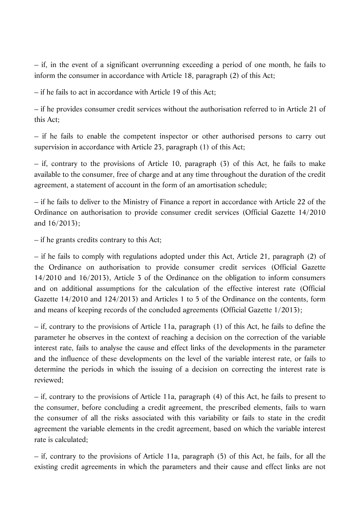– if, in the event of a significant overrunning exceeding a period of one month, he fails to inform the consumer in accordance with Article 18, paragraph (2) of this Act;

– if he fails to act in accordance with Article 19 of this Act;

– if he provides consumer credit services without the authorisation referred to in Article 21 of this Act;

– if he fails to enable the competent inspector or other authorised persons to carry out supervision in accordance with Article 23, paragraph (1) of this Act;

– if, contrary to the provisions of Article 10, paragraph (3) of this Act, he fails to make available to the consumer, free of charge and at any time throughout the duration of the credit agreement, a statement of account in the form of an amortisation schedule;

– if he fails to deliver to the Ministry of Finance a report in accordance with Article 22 of the Ordinance on authorisation to provide consumer credit services (Official Gazette 14/2010 and 16/2013);

– if he grants credits contrary to this Act;

– if he fails to comply with regulations adopted under this Act, Article 21, paragraph (2) of the Ordinance on authorisation to provide consumer credit services (Official Gazette 14/2010 and 16/2013), Article 3 of the Ordinance on the obligation to inform consumers and on additional assumptions for the calculation of the effective interest rate (Official Gazette 14/2010 and 124/2013) and Articles 1 to 5 of the Ordinance on the contents, form and means of keeping records of the concluded agreements (Official Gazette 1/2013);

– if, contrary to the provisions of Article 11a, paragraph (1) of this Act, he fails to define the parameter he observes in the context of reaching a decision on the correction of the variable interest rate, fails to analyse the cause and effect links of the developments in the parameter and the influence of these developments on the level of the variable interest rate, or fails to determine the periods in which the issuing of a decision on correcting the interest rate is reviewed;

– if, contrary to the provisions of Article 11a, paragraph (4) of this Act, he fails to present to the consumer, before concluding a credit agreement, the prescribed elements, fails to warn the consumer of all the risks associated with this variability or fails to state in the credit agreement the variable elements in the credit agreement, based on which the variable interest rate is calculated;

– if, contrary to the provisions of Article 11a, paragraph (5) of this Act, he fails, for all the existing credit agreements in which the parameters and their cause and effect links are not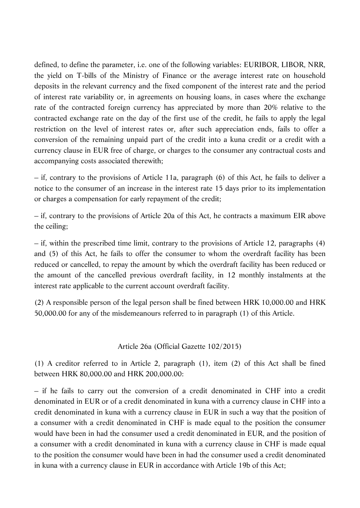defined, to define the parameter, i.e. one of the following variables: EURIBOR, LIBOR, NRR, the yield on T-bills of the Ministry of Finance or the average interest rate on household deposits in the relevant currency and the fixed component of the interest rate and the period of interest rate variability or, in agreements on housing loans, in cases where the exchange rate of the contracted foreign currency has appreciated by more than 20% relative to the contracted exchange rate on the day of the first use of the credit, he fails to apply the legal restriction on the level of interest rates or, after such appreciation ends, fails to offer a conversion of the remaining unpaid part of the credit into a kuna credit or a credit with a currency clause in EUR free of charge, or charges to the consumer any contractual costs and accompanying costs associated therewith;

– if, contrary to the provisions of Article 11a, paragraph (6) of this Act, he fails to deliver a notice to the consumer of an increase in the interest rate 15 days prior to its implementation or charges a compensation for early repayment of the credit;

– if, contrary to the provisions of Article 20a of this Act, he contracts a maximum EIR above the ceiling;

– if, within the prescribed time limit, contrary to the provisions of Article 12, paragraphs (4) and (5) of this Act, he fails to offer the consumer to whom the overdraft facility has been reduced or cancelled, to repay the amount by which the overdraft facility has been reduced or the amount of the cancelled previous overdraft facility, in 12 monthly instalments at the interest rate applicable to the current account overdraft facility.

(2) A responsible person of the legal person shall be fined between HRK 10,000.00 and HRK 50,000.00 for any of the misdemeanours referred to in paragraph (1) of this Article.

### Article 26a (Official Gazette 102/2015)

(1) A creditor referred to in Article 2, paragraph (1), item (2) of this Act shall be fined between HRK 80,000.00 and HRK 200,000.00:

– if he fails to carry out the conversion of a credit denominated in CHF into a credit denominated in EUR or of a credit denominated in kuna with a currency clause in CHF into a credit denominated in kuna with a currency clause in EUR in such a way that the position of a consumer with a credit denominated in CHF is made equal to the position the consumer would have been in had the consumer used a credit denominated in EUR, and the position of a consumer with a credit denominated in kuna with a currency clause in CHF is made equal to the position the consumer would have been in had the consumer used a credit denominated in kuna with a currency clause in EUR in accordance with Article 19b of this Act;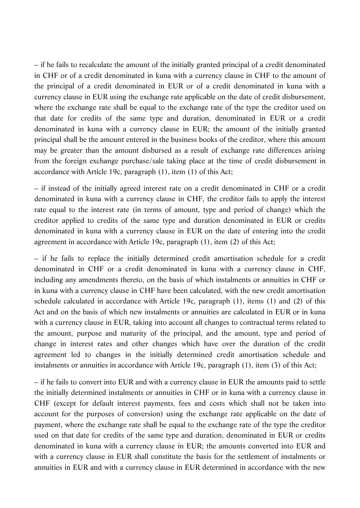– if he fails to recalculate the amount of the initially granted principal of a credit denominated in CHF or of a credit denominated in kuna with a currency clause in CHF to the amount of the principal of a credit denominated in EUR or of a credit denominated in kuna with a currency clause in EUR using the exchange rate applicable on the date of credit disbursement, where the exchange rate shall be equal to the exchange rate of the type the creditor used on that date for credits of the same type and duration, denominated in EUR or a credit denominated in kuna with a currency clause in EUR; the amount of the initially granted principal shall be the amount entered in the business books of the creditor, where this amount may be greater than the amount disbursed as a result of exchange rate differences arising from the foreign exchange purchase/sale taking place at the time of credit disbursement in accordance with Article 19c, paragraph (1), item (1) of this Act;

– if instead of the initially agreed interest rate on a credit denominated in CHF or a credit denominated in kuna with a currency clause in CHF, the creditor fails to apply the interest rate equal to the interest rate (in terms of amount, type and period of change) which the creditor applied to credits of the same type and duration denominated in EUR or credits denominated in kuna with a currency clause in EUR on the date of entering into the credit agreement in accordance with Article 19c, paragraph (1), item (2) of this Act;

– if he fails to replace the initially determined credit amortisation schedule for a credit denominated in CHF or a credit denominated in kuna with a currency clause in CHF, including any amendments thereto, on the basis of which instalments or annuities in CHF or in kuna with a currency clause in CHF have been calculated, with the new credit amortisation schedule calculated in accordance with Article 19c, paragraph (1), items (1) and (2) of this Act and on the basis of which new instalments or annuities are calculated in EUR or in kuna with a currency clause in EUR, taking into account all changes to contractual terms related to the amount, purpose and maturity of the principal, and the amount, type and period of change in interest rates and other changes which have over the duration of the credit agreement led to changes in the initially determined credit amortisation schedule and instalments or annuities in accordance with Article 19c, paragraph (1), item (3) of this Act;

– if he fails to convert into EUR and with a currency clause in EUR the amounts paid to settle the initially determined instalments or annuities in CHF or in kuna with a currency clause in CHF (except for default interest payments, fees and costs which shall not be taken into account for the purposes of conversion) using the exchange rate applicable on the date of payment, where the exchange rate shall be equal to the exchange rate of the type the creditor used on that date for credits of the same type and duration, denominated in EUR or credits denominated in kuna with a currency clause in EUR; the amounts converted into EUR and with a currency clause in EUR shall constitute the basis for the settlement of instalments or annuities in EUR and with a currency clause in EUR determined in accordance with the new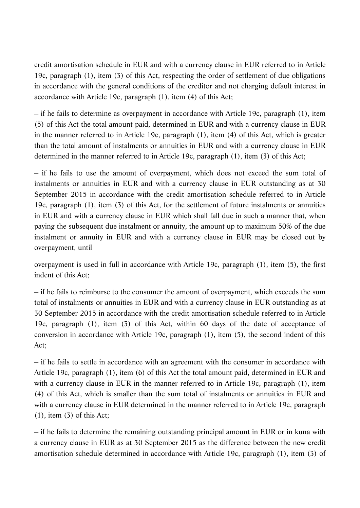credit amortisation schedule in EUR and with a currency clause in EUR referred to in Article 19c, paragraph (1), item (3) of this Act, respecting the order of settlement of due obligations in accordance with the general conditions of the creditor and not charging default interest in accordance with Article 19c, paragraph (1), item (4) of this Act;

– if he fails to determine as overpayment in accordance with Article 19c, paragraph (1), item (5) of this Act the total amount paid, determined in EUR and with a currency clause in EUR in the manner referred to in Article 19c, paragraph (1), item (4) of this Act, which is greater than the total amount of instalments or annuities in EUR and with a currency clause in EUR determined in the manner referred to in Article 19c, paragraph (1), item (3) of this Act;

– if he fails to use the amount of overpayment, which does not exceed the sum total of instalments or annuities in EUR and with a currency clause in EUR outstanding as at 30 September 2015 in accordance with the credit amortisation schedule referred to in Article 19c, paragraph (1), item (3) of this Act, for the settlement of future instalments or annuities in EUR and with a currency clause in EUR which shall fall due in such a manner that, when paying the subsequent due instalment or annuity, the amount up to maximum 50% of the due instalment or annuity in EUR and with a currency clause in EUR may be closed out by overpayment, until

overpayment is used in full in accordance with Article 19c, paragraph (1), item (5), the first indent of this Act;

– if he fails to reimburse to the consumer the amount of overpayment, which exceeds the sum total of instalments or annuities in EUR and with a currency clause in EUR outstanding as at 30 September 2015 in accordance with the credit amortisation schedule referred to in Article 19c, paragraph (1), item (3) of this Act, within 60 days of the date of acceptance of conversion in accordance with Article 19c, paragraph (1), item (5), the second indent of this Act;

– if he fails to settle in accordance with an agreement with the consumer in accordance with Article 19c, paragraph (1), item (6) of this Act the total amount paid, determined in EUR and with a currency clause in EUR in the manner referred to in Article 19c, paragraph (1), item (4) of this Act, which is smaller than the sum total of instalments or annuities in EUR and with a currency clause in EUR determined in the manner referred to in Article 19c, paragraph (1), item (3) of this Act;

– if he fails to determine the remaining outstanding principal amount in EUR or in kuna with a currency clause in EUR as at 30 September 2015 as the difference between the new credit amortisation schedule determined in accordance with Article 19c, paragraph (1), item (3) of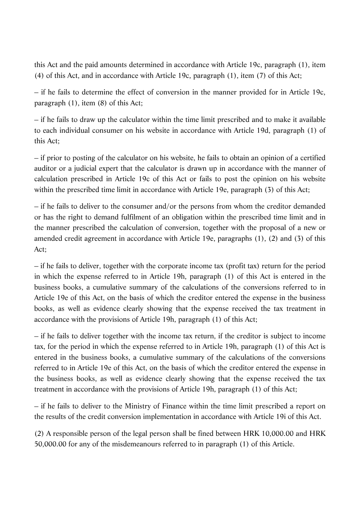this Act and the paid amounts determined in accordance with Article 19c, paragraph (1), item (4) of this Act, and in accordance with Article 19c, paragraph (1), item (7) of this Act;

– if he fails to determine the effect of conversion in the manner provided for in Article 19c, paragraph (1), item (8) of this Act;

– if he fails to draw up the calculator within the time limit prescribed and to make it available to each individual consumer on his website in accordance with Article 19d, paragraph (1) of this Act;

– if prior to posting of the calculator on his website, he fails to obtain an opinion of a certified auditor or a judicial expert that the calculator is drawn up in accordance with the manner of calculation prescribed in Article 19c of this Act or fails to post the opinion on his website within the prescribed time limit in accordance with Article 19e, paragraph (3) of this Act;

– if he fails to deliver to the consumer and/or the persons from whom the creditor demanded or has the right to demand fulfilment of an obligation within the prescribed time limit and in the manner prescribed the calculation of conversion, together with the proposal of a new or amended credit agreement in accordance with Article 19e, paragraphs (1), (2) and (3) of this Act;

– if he fails to deliver, together with the corporate income tax (profit tax) return for the period in which the expense referred to in Article 19h, paragraph (1) of this Act is entered in the business books, a cumulative summary of the calculations of the conversions referred to in Article 19e of this Act, on the basis of which the creditor entered the expense in the business books, as well as evidence clearly showing that the expense received the tax treatment in accordance with the provisions of Article 19h, paragraph (1) of this Act;

– if he fails to deliver together with the income tax return, if the creditor is subject to income tax, for the period in which the expense referred to in Article 19h, paragraph (1) of this Act is entered in the business books, a cumulative summary of the calculations of the conversions referred to in Article 19e of this Act, on the basis of which the creditor entered the expense in the business books, as well as evidence clearly showing that the expense received the tax treatment in accordance with the provisions of Article 19h, paragraph (1) of this Act;

– if he fails to deliver to the Ministry of Finance within the time limit prescribed a report on the results of the credit conversion implementation in accordance with Article 19i of this Act.

(2) A responsible person of the legal person shall be fined between HRK 10,000.00 and HRK 50,000.00 for any of the misdemeanours referred to in paragraph (1) of this Article.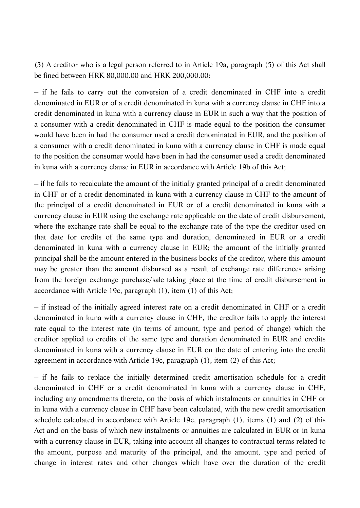(3) A creditor who is a legal person referred to in Article 19a, paragraph (5) of this Act shall be fined between HRK 80,000.00 and HRK 200,000.00:

– if he fails to carry out the conversion of a credit denominated in CHF into a credit denominated in EUR or of a credit denominated in kuna with a currency clause in CHF into a credit denominated in kuna with a currency clause in EUR in such a way that the position of a consumer with a credit denominated in CHF is made equal to the position the consumer would have been in had the consumer used a credit denominated in EUR, and the position of a consumer with a credit denominated in kuna with a currency clause in CHF is made equal to the position the consumer would have been in had the consumer used a credit denominated in kuna with a currency clause in EUR in accordance with Article 19b of this Act;

– if he fails to recalculate the amount of the initially granted principal of a credit denominated in CHF or of a credit denominated in kuna with a currency clause in CHF to the amount of the principal of a credit denominated in EUR or of a credit denominated in kuna with a currency clause in EUR using the exchange rate applicable on the date of credit disbursement, where the exchange rate shall be equal to the exchange rate of the type the creditor used on that date for credits of the same type and duration, denominated in EUR or a credit denominated in kuna with a currency clause in EUR; the amount of the initially granted principal shall be the amount entered in the business books of the creditor, where this amount may be greater than the amount disbursed as a result of exchange rate differences arising from the foreign exchange purchase/sale taking place at the time of credit disbursement in accordance with Article 19c, paragraph (1), item (1) of this Act;

– if instead of the initially agreed interest rate on a credit denominated in CHF or a credit denominated in kuna with a currency clause in CHF, the creditor fails to apply the interest rate equal to the interest rate (in terms of amount, type and period of change) which the creditor applied to credits of the same type and duration denominated in EUR and credits denominated in kuna with a currency clause in EUR on the date of entering into the credit agreement in accordance with Article 19c, paragraph (1), item (2) of this Act;

– if he fails to replace the initially determined credit amortisation schedule for a credit denominated in CHF or a credit denominated in kuna with a currency clause in CHF, including any amendments thereto, on the basis of which instalments or annuities in CHF or in kuna with a currency clause in CHF have been calculated, with the new credit amortisation schedule calculated in accordance with Article 19c, paragraph (1), items (1) and (2) of this Act and on the basis of which new instalments or annuities are calculated in EUR or in kuna with a currency clause in EUR, taking into account all changes to contractual terms related to the amount, purpose and maturity of the principal, and the amount, type and period of change in interest rates and other changes which have over the duration of the credit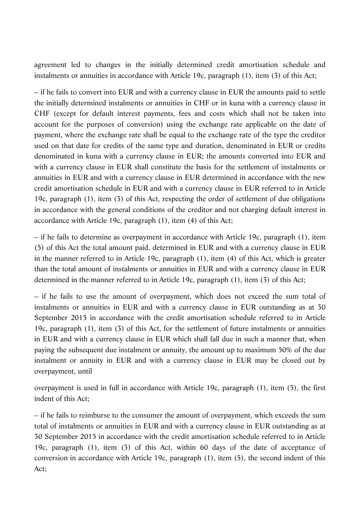agreement led to changes in the initially determined credit amortisation schedule and instalments or annuities in accordance with Article 19c, paragraph (1), item (3) of this Act;

– if he fails to convert into EUR and with a currency clause in EUR the amounts paid to settle the initially determined instalments or annuities in CHF or in kuna with a currency clause in CHF (except for default interest payments, fees and costs which shall not be taken into account for the purposes of conversion) using the exchange rate applicable on the date of payment, where the exchange rate shall be equal to the exchange rate of the type the creditor used on that date for credits of the same type and duration, denominated in EUR or credits denominated in kuna with a currency clause in EUR; the amounts converted into EUR and with a currency clause in EUR shall constitute the basis for the settlement of instalments or annuities in EUR and with a currency clause in EUR determined in accordance with the new credit amortisation schedule in EUR and with a currency clause in EUR referred to in Article 19c, paragraph (1), item (3) of this Act, respecting the order of settlement of due obligations in accordance with the general conditions of the creditor and not charging default interest in accordance with Article 19c, paragraph (1), item (4) of this Act;

– if he fails to determine as overpayment in accordance with Article 19c, paragraph (1), item (5) of this Act the total amount paid, determined in EUR and with a currency clause in EUR in the manner referred to in Article 19c, paragraph (1), item (4) of this Act, which is greater than the total amount of instalments or annuities in EUR and with a currency clause in EUR determined in the manner referred to in Article 19c, paragraph (1), item (3) of this Act;

– if he fails to use the amount of overpayment, which does not exceed the sum total of instalments or annuities in EUR and with a currency clause in EUR outstanding as at 30 September 2015 in accordance with the credit amortisation schedule referred to in Article 19c, paragraph (1), item (3) of this Act, for the settlement of future instalments or annuities in EUR and with a currency clause in EUR which shall fall due in such a manner that, when paying the subsequent due instalment or annuity, the amount up to maximum 50% of the due instalment or annuity in EUR and with a currency clause in EUR may be closed out by overpayment, until

overpayment is used in full in accordance with Article 19c, paragraph (1), item (5), the first indent of this Act;

– if he fails to reimburse to the consumer the amount of overpayment, which exceeds the sum total of instalments or annuities in EUR and with a currency clause in EUR outstanding as at 30 September 2015 in accordance with the credit amortisation schedule referred to in Article 19c, paragraph (1), item (3) of this Act, within 60 days of the date of acceptance of conversion in accordance with Article 19c, paragraph (1), item (5), the second indent of this Act;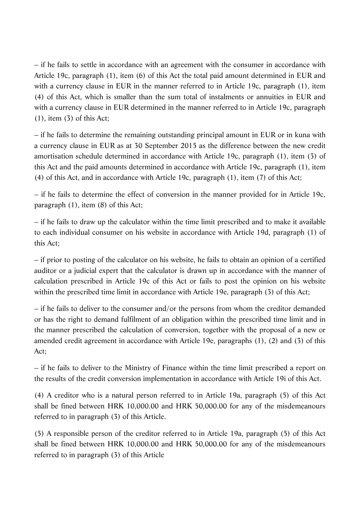– if he fails to settle in accordance with an agreement with the consumer in accordance with Article 19c, paragraph (1), item (6) of this Act the total paid amount determined in EUR and with a currency clause in EUR in the manner referred to in Article 19c, paragraph (1), item (4) of this Act, which is smaller than the sum total of instalments or annuities in EUR and with a currency clause in EUR determined in the manner referred to in Article 19c, paragraph (1), item (3) of this Act;

– if he fails to determine the remaining outstanding principal amount in EUR or in kuna with a currency clause in EUR as at 30 September 2015 as the difference between the new credit amortisation schedule determined in accordance with Article 19c, paragraph (1), item (3) of this Act and the paid amounts determined in accordance with Article 19c, paragraph (1), item (4) of this Act, and in accordance with Article 19c, paragraph (1), item (7) of this Act;

– if he fails to determine the effect of conversion in the manner provided for in Article 19c, paragraph (1), item (8) of this Act;

– if he fails to draw up the calculator within the time limit prescribed and to make it available to each individual consumer on his website in accordance with Article 19d, paragraph (1) of this Act;

– if prior to posting of the calculator on his website, he fails to obtain an opinion of a certified auditor or a judicial expert that the calculator is drawn up in accordance with the manner of calculation prescribed in Article 19c of this Act or fails to post the opinion on his website within the prescribed time limit in accordance with Article 19e, paragraph (3) of this Act;

– if he fails to deliver to the consumer and/or the persons from whom the creditor demanded or has the right to demand fulfilment of an obligation within the prescribed time limit and in the manner prescribed the calculation of conversion, together with the proposal of a new or amended credit agreement in accordance with Article 19e, paragraphs (1), (2) and (3) of this Act;

– if he fails to deliver to the Ministry of Finance within the time limit prescribed a report on the results of the credit conversion implementation in accordance with Article 19i of this Act.

(4) A creditor who is a natural person referred to in Article 19a, paragraph (5) of this Act shall be fined between HRK 10,000.00 and HRK 50,000.00 for any of the misdemeanours referred to in paragraph (3) of this Article.

(5) A responsible person of the creditor referred to in Article 19a, paragraph (5) of this Act shall be fined between HRK 10,000.00 and HRK 50,000.00 for any of the misdemeanours referred to in paragraph (3) of this Article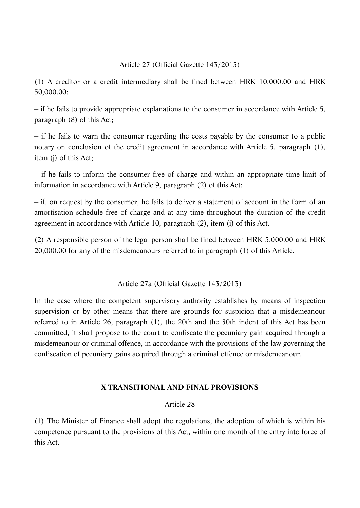### Article 27 (Official Gazette 143/2013)

(1) A creditor or a credit intermediary shall be fined between HRK 10,000.00 and HRK 50,000.00:

– if he fails to provide appropriate explanations to the consumer in accordance with Article 5, paragraph (8) of this Act;

– if he fails to warn the consumer regarding the costs payable by the consumer to a public notary on conclusion of the credit agreement in accordance with Article 5, paragraph (1), item (j) of this Act;

– if he fails to inform the consumer free of charge and within an appropriate time limit of information in accordance with Article 9, paragraph (2) of this Act;

– if, on request by the consumer, he fails to deliver a statement of account in the form of an amortisation schedule free of charge and at any time throughout the duration of the credit agreement in accordance with Article 10, paragraph (2), item (i) of this Act.

(2) A responsible person of the legal person shall be fined between HRK 5,000.00 and HRK 20,000.00 for any of the misdemeanours referred to in paragraph (1) of this Article.

### Article 27a (Official Gazette 143/2013)

In the case where the competent supervisory authority establishes by means of inspection supervision or by other means that there are grounds for suspicion that a misdemeanour referred to in Article 26, paragraph (1), the 20th and the 30th indent of this Act has been committed, it shall propose to the court to confiscate the pecuniary gain acquired through a misdemeanour or criminal offence, in accordance with the provisions of the law governing the confiscation of pecuniary gains acquired through a criminal offence or misdemeanour.

# **X TRANSITIONAL AND FINAL PROVISIONS**

### Article 28

(1) The Minister of Finance shall adopt the regulations, the adoption of which is within his competence pursuant to the provisions of this Act, within one month of the entry into force of this Act.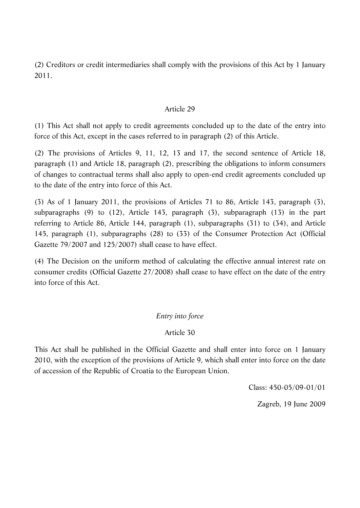(2) Creditors or credit intermediaries shall comply with the provisions of this Act by 1 January 2011.

### Article 29

(1) This Act shall not apply to credit agreements concluded up to the date of the entry into force of this Act, except in the cases referred to in paragraph (2) of this Article.

(2) The provisions of Articles 9, 11, 12, 13 and 17, the second sentence of Article 18, paragraph (1) and Article 18, paragraph (2), prescribing the obligations to inform consumers of changes to contractual terms shall also apply to open-end credit agreements concluded up to the date of the entry into force of this Act.

(3) As of 1 January 2011, the provisions of Articles 71 to 86, Article 143, paragraph (3), subparagraphs (9) to (12), Article 143, paragraph (3), subparagraph (13) in the part referring to Article 86, Article 144, paragraph (1), subparagraphs (31) to (34), and Article 145, paragraph (1), subparagraphs (28) to (33) of the Consumer Protection Act (Official Gazette 79/2007 and 125/2007) shall cease to have effect.

(4) The Decision on the uniform method of calculating the effective annual interest rate on consumer credits (Official Gazette 27/2008) shall cease to have effect on the date of the entry into force of this Act.

### *Entry into force*

### Article 30

This Act shall be published in the Official Gazette and shall enter into force on 1 January 2010, with the exception of the provisions of Article 9, which shall enter into force on the date of accession of the Republic of Croatia to the European Union.

Class: 450-05/09-01/01

Zagreb, 19 June 2009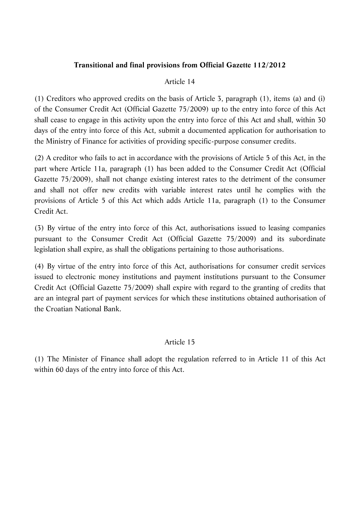# **Transitional and final provisions from Official Gazette 112/2012**

### Article 14

(1) Creditors who approved credits on the basis of Article 3, paragraph (1), items (a) and (i) of the Consumer Credit Act (Official Gazette 75/2009) up to the entry into force of this Act shall cease to engage in this activity upon the entry into force of this Act and shall, within 30 days of the entry into force of this Act, submit a documented application for authorisation to the Ministry of Finance for activities of providing specific-purpose consumer credits.

(2) A creditor who fails to act in accordance with the provisions of Article 5 of this Act, in the part where Article 11a, paragraph (1) has been added to the Consumer Credit Act (Official Gazette 75/2009), shall not change existing interest rates to the detriment of the consumer and shall not offer new credits with variable interest rates until he complies with the provisions of Article 5 of this Act which adds Article 11a, paragraph (1) to the Consumer Credit Act.

(3) By virtue of the entry into force of this Act, authorisations issued to leasing companies pursuant to the Consumer Credit Act (Official Gazette 75/2009) and its subordinate legislation shall expire, as shall the obligations pertaining to those authorisations.

(4) By virtue of the entry into force of this Act, authorisations for consumer credit services issued to electronic money institutions and payment institutions pursuant to the Consumer Credit Act (Official Gazette 75/2009) shall expire with regard to the granting of credits that are an integral part of payment services for which these institutions obtained authorisation of the Croatian National Bank.

# Article 15

(1) The Minister of Finance shall adopt the regulation referred to in Article 11 of this Act within 60 days of the entry into force of this Act.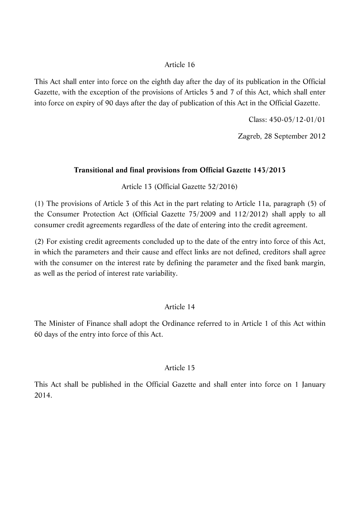# Article 16

This Act shall enter into force on the eighth day after the day of its publication in the Official Gazette, with the exception of the provisions of Articles 5 and 7 of this Act, which shall enter into force on expiry of 90 days after the day of publication of this Act in the Official Gazette.

Class: 450-05/12-01/01

Zagreb, 28 September 2012

# **Transitional and final provisions from Official Gazette 143/2013**

Article 13 (Official Gazette 52/2016)

(1) The provisions of Article 3 of this Act in the part relating to Article 11a, paragraph (5) of the Consumer Protection Act (Official Gazette 75/2009 and 112/2012) shall apply to all consumer credit agreements regardless of the date of entering into the credit agreement.

(2) For existing credit agreements concluded up to the date of the entry into force of this Act, in which the parameters and their cause and effect links are not defined, creditors shall agree with the consumer on the interest rate by defining the parameter and the fixed bank margin, as well as the period of interest rate variability.

# Article 14

The Minister of Finance shall adopt the Ordinance referred to in Article 1 of this Act within 60 days of the entry into force of this Act.

# Article 15

This Act shall be published in the Official Gazette and shall enter into force on 1 January 2014.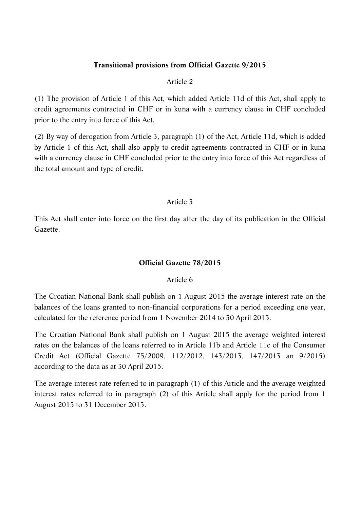### **Transitional provisions from Official Gazette 9/2015**

#### Article 2

(1) The provision of Article 1 of this Act, which added Article 11d of this Act, shall apply to credit agreements contracted in CHF or in kuna with a currency clause in CHF concluded prior to the entry into force of this Act.

(2) By way of derogation from Article 3, paragraph (1) of the Act, Article 11d, which is added by Article 1 of this Act, shall also apply to credit agreements contracted in CHF or in kuna with a currency clause in CHF concluded prior to the entry into force of this Act regardless of the total amount and type of credit.

### Article 3

This Act shall enter into force on the first day after the day of its publication in the Official Gazette.

### **Official Gazette 78/2015**

### Article 6

The Croatian National Bank shall publish on 1 August 2015 the average interest rate on the balances of the loans granted to non-financial corporations for a period exceeding one year, calculated for the reference period from 1 November 2014 to 30 April 2015.

The Croatian National Bank shall publish on 1 August 2015 the average weighted interest rates on the balances of the loans referred to in Article 11b and Article 11c of the Consumer Credit Act (Official Gazette 75/2009, 112/2012, 143/2013, 147/2013 an 9/2015) according to the data as at 30 April 2015.

The average interest rate referred to in paragraph (1) of this Article and the average weighted interest rates referred to in paragraph (2) of this Article shall apply for the period from 1 August 2015 to 31 December 2015.